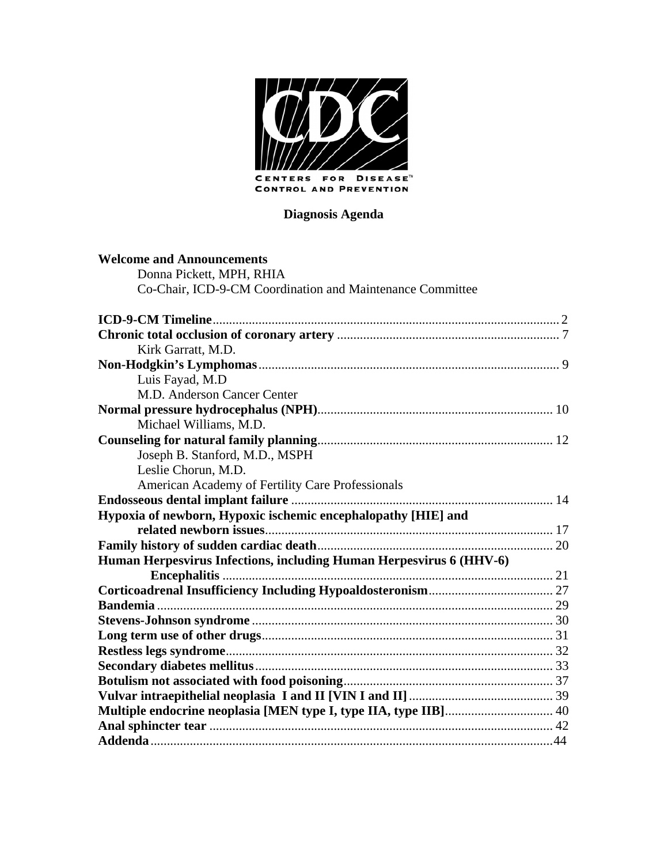

# **Diagnosis Agenda**

| <b>Welcome and Announcements</b>                                    |  |
|---------------------------------------------------------------------|--|
| Donna Pickett, MPH, RHIA                                            |  |
| Co-Chair, ICD-9-CM Coordination and Maintenance Committee           |  |
|                                                                     |  |
|                                                                     |  |
| Kirk Garratt, M.D.                                                  |  |
|                                                                     |  |
| Luis Fayad, M.D                                                     |  |
| M.D. Anderson Cancer Center                                         |  |
|                                                                     |  |
| Michael Williams, M.D.                                              |  |
|                                                                     |  |
| Joseph B. Stanford, M.D., MSPH                                      |  |
| Leslie Chorun, M.D.                                                 |  |
| American Academy of Fertility Care Professionals                    |  |
|                                                                     |  |
| Hypoxia of newborn, Hypoxic ischemic encephalopathy [HIE] and       |  |
|                                                                     |  |
|                                                                     |  |
| Human Herpesvirus Infections, including Human Herpesvirus 6 (HHV-6) |  |
|                                                                     |  |
|                                                                     |  |
|                                                                     |  |
|                                                                     |  |
|                                                                     |  |
|                                                                     |  |
|                                                                     |  |
|                                                                     |  |
|                                                                     |  |
|                                                                     |  |
|                                                                     |  |
|                                                                     |  |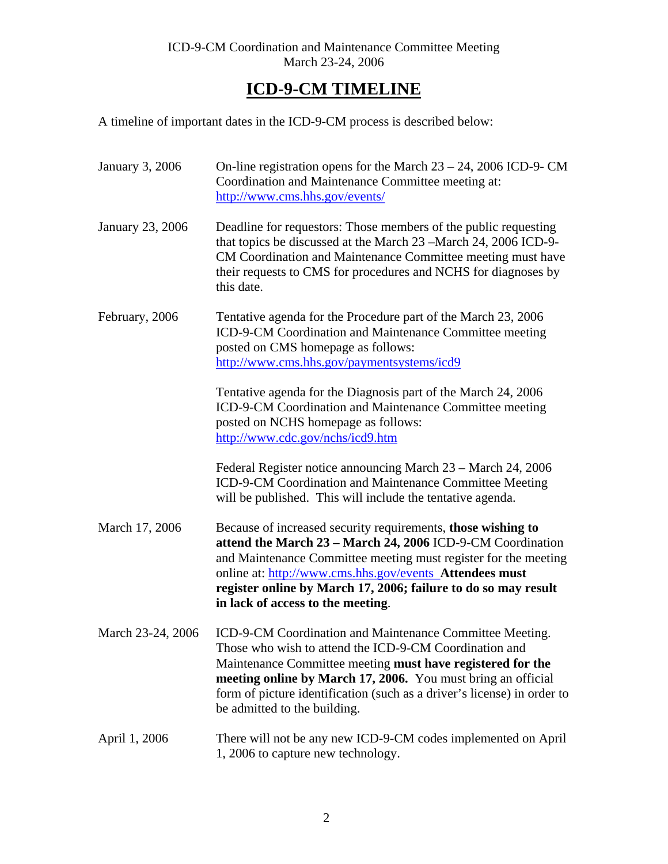# **ICD-9-CM TIMELINE**

A timeline of important dates in the ICD-9-CM process is described below:

| <b>January 3, 2006</b> | On-line registration opens for the March $23 - 24$ , 2006 ICD-9- CM<br>Coordination and Maintenance Committee meeting at:<br>http://www.cms.hhs.gov/events/                                                                                                                                                                                                     |
|------------------------|-----------------------------------------------------------------------------------------------------------------------------------------------------------------------------------------------------------------------------------------------------------------------------------------------------------------------------------------------------------------|
| January 23, 2006       | Deadline for requestors: Those members of the public requesting<br>that topics be discussed at the March 23 – March 24, 2006 ICD-9-<br>CM Coordination and Maintenance Committee meeting must have<br>their requests to CMS for procedures and NCHS for diagnoses by<br>this date.                                                                              |
| February, 2006         | Tentative agenda for the Procedure part of the March 23, 2006<br>ICD-9-CM Coordination and Maintenance Committee meeting<br>posted on CMS homepage as follows:<br>http://www.cms.hhs.gov/paymentsystems/icd9                                                                                                                                                    |
|                        | Tentative agenda for the Diagnosis part of the March 24, 2006<br>ICD-9-CM Coordination and Maintenance Committee meeting<br>posted on NCHS homepage as follows:<br>http://www.cdc.gov/nchs/icd9.htm                                                                                                                                                             |
|                        | Federal Register notice announcing March 23 – March 24, 2006<br>ICD-9-CM Coordination and Maintenance Committee Meeting<br>will be published. This will include the tentative agenda.                                                                                                                                                                           |
| March 17, 2006         | Because of increased security requirements, those wishing to<br>attend the March 23 - March 24, 2006 ICD-9-CM Coordination<br>and Maintenance Committee meeting must register for the meeting<br>online at: http://www.cms.hhs.gov/events Attendees must<br>register online by March 17, 2006; failure to do so may result<br>in lack of access to the meeting. |
| March 23-24, 2006      | ICD-9-CM Coordination and Maintenance Committee Meeting.<br>Those who wish to attend the ICD-9-CM Coordination and<br>Maintenance Committee meeting must have registered for the<br>meeting online by March 17, 2006. You must bring an official<br>form of picture identification (such as a driver's license) in order to<br>be admitted to the building.     |
| April 1, 2006          | There will not be any new ICD-9-CM codes implemented on April<br>1, 2006 to capture new technology.                                                                                                                                                                                                                                                             |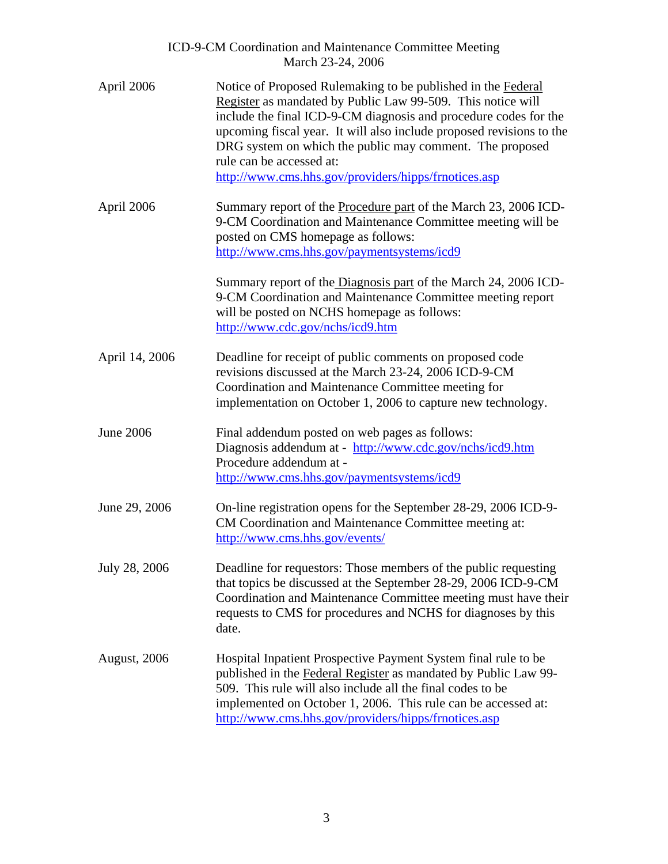|                      | ICD-9-CM Coordination and Maintenance Committee Meeting<br>March 23-24, 2006                                                                                                                                                                                                                                                                                                                                            |
|----------------------|-------------------------------------------------------------------------------------------------------------------------------------------------------------------------------------------------------------------------------------------------------------------------------------------------------------------------------------------------------------------------------------------------------------------------|
| April 2006           | Notice of Proposed Rulemaking to be published in the Federal<br>Register as mandated by Public Law 99-509. This notice will<br>include the final ICD-9-CM diagnosis and procedure codes for the<br>upcoming fiscal year. It will also include proposed revisions to the<br>DRG system on which the public may comment. The proposed<br>rule can be accessed at:<br>http://www.cms.hhs.gov/providers/hipps/frnotices.asp |
| April 2006           | Summary report of the <b>Procedure part</b> of the March 23, 2006 ICD-<br>9-CM Coordination and Maintenance Committee meeting will be<br>posted on CMS homepage as follows:<br>http://www.cms.hhs.gov/paymentsystems/icd9                                                                                                                                                                                               |
|                      | Summary report of the Diagnosis part of the March 24, 2006 ICD-<br>9-CM Coordination and Maintenance Committee meeting report<br>will be posted on NCHS homepage as follows:<br>http://www.cdc.gov/nchs/icd9.htm                                                                                                                                                                                                        |
| April 14, 2006       | Deadline for receipt of public comments on proposed code<br>revisions discussed at the March 23-24, 2006 ICD-9-CM<br>Coordination and Maintenance Committee meeting for<br>implementation on October 1, 2006 to capture new technology.                                                                                                                                                                                 |
| June 2006            | Final addendum posted on web pages as follows:<br>Diagnosis addendum at - http://www.cdc.gov/nchs/icd9.htm<br>Procedure addendum at -<br>http://www.cms.hhs.gov/paymentsystems/icd9                                                                                                                                                                                                                                     |
| June 29, 2006        | On-line registration opens for the September 28-29, 2006 ICD-9-<br>CM Coordination and Maintenance Committee meeting at:<br>http://www.cms.hhs.gov/events/                                                                                                                                                                                                                                                              |
| July 28, 2006        | Deadline for requestors: Those members of the public requesting<br>that topics be discussed at the September 28-29, 2006 ICD-9-CM<br>Coordination and Maintenance Committee meeting must have their<br>requests to CMS for procedures and NCHS for diagnoses by this<br>date.                                                                                                                                           |
| <b>August</b> , 2006 | Hospital Inpatient Prospective Payment System final rule to be<br>published in the Federal Register as mandated by Public Law 99-<br>509. This rule will also include all the final codes to be<br>implemented on October 1, 2006. This rule can be accessed at:<br>http://www.cms.hhs.gov/providers/hipps/frnotices.asp                                                                                                |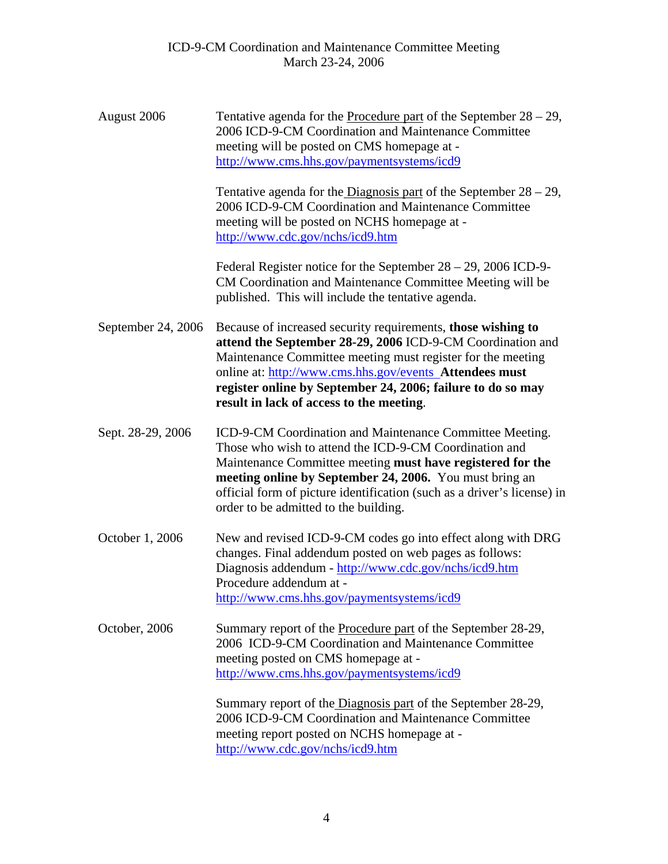| August 2006        | Tentative agenda for the <b>Procedure part</b> of the September $28 - 29$ ,<br>2006 ICD-9-CM Coordination and Maintenance Committee<br>meeting will be posted on CMS homepage at -<br>http://www.cms.hhs.gov/paymentsystems/icd9                                                                                                                                |  |  |  |  |
|--------------------|-----------------------------------------------------------------------------------------------------------------------------------------------------------------------------------------------------------------------------------------------------------------------------------------------------------------------------------------------------------------|--|--|--|--|
|                    | Tentative agenda for the Diagnosis part of the September $28 - 29$ ,<br>2006 ICD-9-CM Coordination and Maintenance Committee<br>meeting will be posted on NCHS homepage at -<br>http://www.cdc.gov/nchs/icd9.htm                                                                                                                                                |  |  |  |  |
|                    | Federal Register notice for the September $28 - 29$ , 2006 ICD-9-<br>CM Coordination and Maintenance Committee Meeting will be<br>published. This will include the tentative agenda.                                                                                                                                                                            |  |  |  |  |
| September 24, 2006 | Because of increased security requirements, those wishing to<br>attend the September 28-29, 2006 ICD-9-CM Coordination and<br>Maintenance Committee meeting must register for the meeting<br>online at: http://www.cms.hhs.gov/events Attendees must<br>register online by September 24, 2006; failure to do so may<br>result in lack of access to the meeting. |  |  |  |  |
| Sept. 28-29, 2006  | ICD-9-CM Coordination and Maintenance Committee Meeting.<br>Those who wish to attend the ICD-9-CM Coordination and<br>Maintenance Committee meeting must have registered for the<br>meeting online by September 24, 2006. You must bring an<br>official form of picture identification (such as a driver's license) in<br>order to be admitted to the building. |  |  |  |  |
| October 1, 2006    | New and revised ICD-9-CM codes go into effect along with DRG<br>changes. Final addendum posted on web pages as follows:<br>Diagnosis addendum - http://www.cdc.gov/nchs/icd9.htm<br>Procedure addendum at -<br>http://www.cms.hhs.gov/paymentsystems/icd9                                                                                                       |  |  |  |  |
| October, 2006      | Summary report of the Procedure part of the September 28-29,<br>2006 ICD-9-CM Coordination and Maintenance Committee<br>meeting posted on CMS homepage at -<br>http://www.cms.hhs.gov/paymentsystems/icd9                                                                                                                                                       |  |  |  |  |
|                    | Summary report of the Diagnosis part of the September 28-29,<br>2006 ICD-9-CM Coordination and Maintenance Committee<br>meeting report posted on NCHS homepage at -<br>http://www.cdc.gov/nchs/icd9.htm                                                                                                                                                         |  |  |  |  |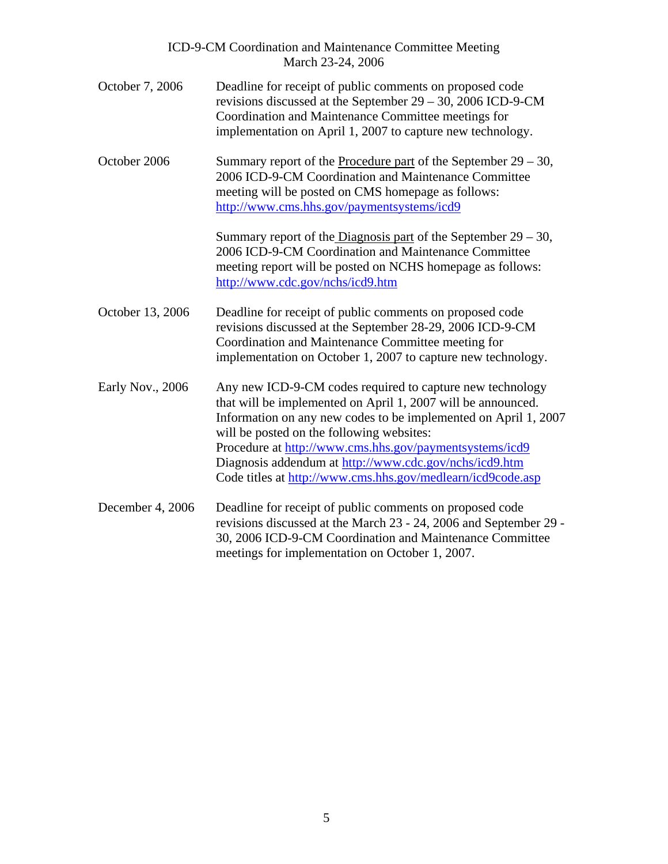|                  | ICD-9-CM Coordination and Maintenance Committee Meeting<br>March 23-24, 2006                                                                                                                                                                                                                                                                                                                                                  |
|------------------|-------------------------------------------------------------------------------------------------------------------------------------------------------------------------------------------------------------------------------------------------------------------------------------------------------------------------------------------------------------------------------------------------------------------------------|
| October 7, 2006  | Deadline for receipt of public comments on proposed code<br>revisions discussed at the September 29 - 30, 2006 ICD-9-CM<br>Coordination and Maintenance Committee meetings for<br>implementation on April 1, 2007 to capture new technology.                                                                                                                                                                                  |
| October 2006     | Summary report of the Procedure part of the September $29 - 30$ ,<br>2006 ICD-9-CM Coordination and Maintenance Committee<br>meeting will be posted on CMS homepage as follows:<br>http://www.cms.hhs.gov/paymentsystems/icd9                                                                                                                                                                                                 |
|                  | Summary report of the Diagnosis part of the September $29 - 30$ ,<br>2006 ICD-9-CM Coordination and Maintenance Committee<br>meeting report will be posted on NCHS homepage as follows:<br>http://www.cdc.gov/nchs/icd9.htm                                                                                                                                                                                                   |
| October 13, 2006 | Deadline for receipt of public comments on proposed code<br>revisions discussed at the September 28-29, 2006 ICD-9-CM<br>Coordination and Maintenance Committee meeting for<br>implementation on October 1, 2007 to capture new technology.                                                                                                                                                                                   |
| Early Nov., 2006 | Any new ICD-9-CM codes required to capture new technology<br>that will be implemented on April 1, 2007 will be announced.<br>Information on any new codes to be implemented on April 1, 2007<br>will be posted on the following websites:<br>Procedure at http://www.cms.hhs.gov/paymentsystems/icd9<br>Diagnosis addendum at http://www.cdc.gov/nchs/icd9.htm<br>Code titles at http://www.cms.hhs.gov/medlearn/icd9code.asp |
| December 4, 2006 | Deadline for receipt of public comments on proposed code<br>revisions discussed at the March 23 - 24, 2006 and September 29 -<br>30, 2006 ICD-9-CM Coordination and Maintenance Committee<br>meetings for implementation on October 1, 2007.                                                                                                                                                                                  |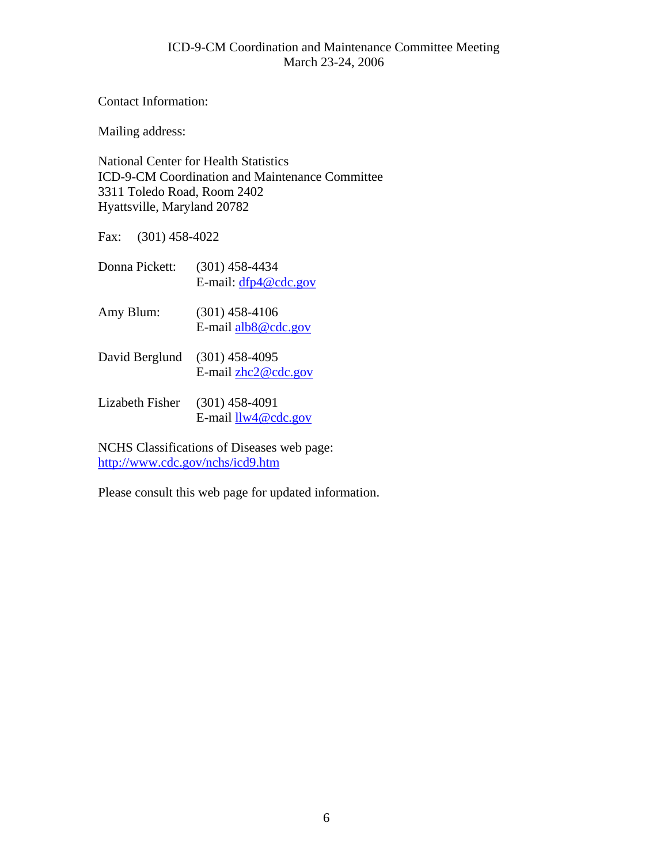Contact Information:

Mailing address:

National Center for Health Statistics ICD-9-CM Coordination and Maintenance Committee 3311 Toledo Road, Room 2402 Hyattsville, Maryland 20782

Fax: (301) 458-4022

| Donna Pickett:  | $(301)$ 458-4434<br>E-mail: $dfp4@cdc.gov$ |
|-----------------|--------------------------------------------|
| Amy Blum:       | $(301)$ 458-4106<br>E-mail alb8@cdc.gov    |
| David Berglund  | $(301)$ 458-4095<br>E-mail $zhc2@cdc.gov$  |
| Lizabeth Fisher | $(301)$ 458-4091<br>E-mail $llw4@cdc.gov$  |

NCHS Classifications of Diseases web page: <http://www.cdc.gov/nchs/icd9.htm>

Please consult this web page for updated information.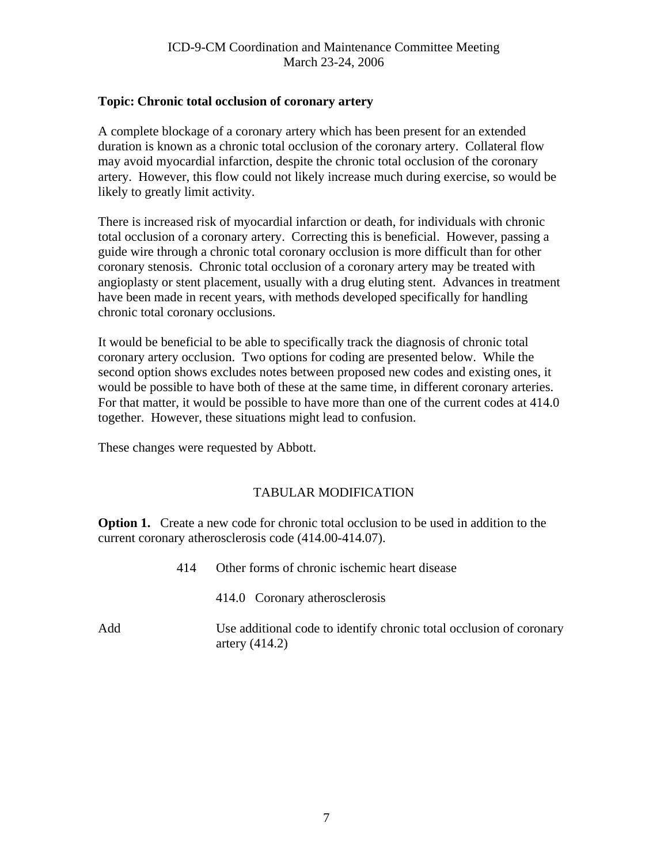#### <span id="page-6-0"></span>**Topic: Chronic total occlusion of coronary artery**

A complete blockage of a coronary artery which has been present for an extended duration is known as a chronic total occlusion of the coronary artery. Collateral flow may avoid myocardial infarction, despite the chronic total occlusion of the coronary artery. However, this flow could not likely increase much during exercise, so would be likely to greatly limit activity.

There is increased risk of myocardial infarction or death, for individuals with chronic total occlusion of a coronary artery. Correcting this is beneficial. However, passing a guide wire through a chronic total coronary occlusion is more difficult than for other coronary stenosis. Chronic total occlusion of a coronary artery may be treated with angioplasty or stent placement, usually with a drug eluting stent. Advances in treatment have been made in recent years, with methods developed specifically for handling chronic total coronary occlusions.

It would be beneficial to be able to specifically track the diagnosis of chronic total coronary artery occlusion. Two options for coding are presented below. While the second option shows excludes notes between proposed new codes and existing ones, it would be possible to have both of these at the same time, in different coronary arteries. For that matter, it would be possible to have more than one of the current codes at 414.0 together. However, these situations might lead to confusion.

These changes were requested by Abbott.

## TABULAR MODIFICATION

**Option 1.** Create a new code for chronic total occlusion to be used in addition to the current coronary atherosclerosis code (414.00-414.07).

414 Other forms of chronic ischemic heart disease 414.0 Coronary atherosclerosis Add Use additional code to identify chronic total occlusion of coronary artery (414.2)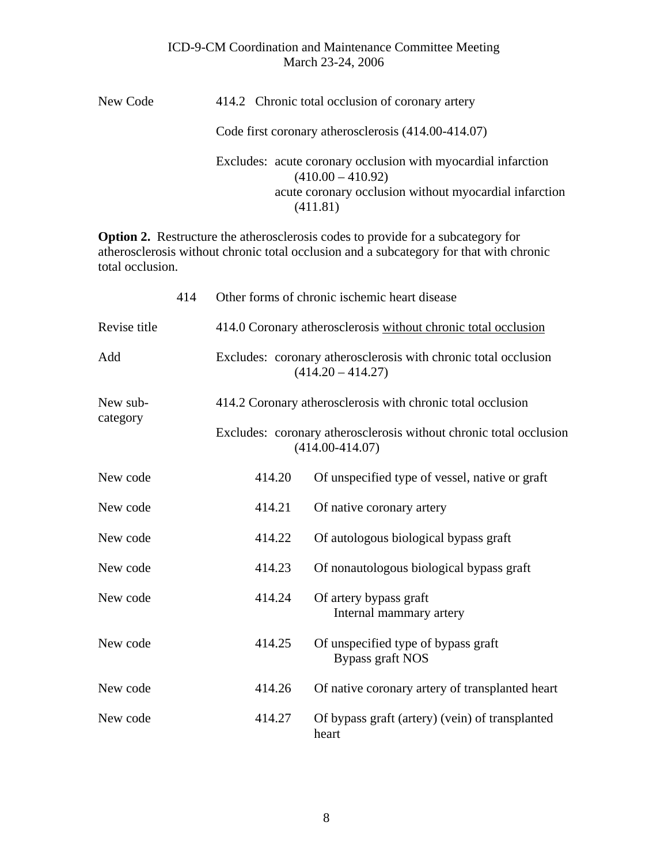| New Code | 414.2 Chronic total occlusion of coronary artery                                                                                                           |  |  |  |
|----------|------------------------------------------------------------------------------------------------------------------------------------------------------------|--|--|--|
|          | Code first coronary atherosclerosis (414.00-414.07)                                                                                                        |  |  |  |
|          | Excludes: acute coronary occlusion with myocardial infarction<br>$(410.00 - 410.92)$<br>acute coronary occlusion without myocardial infarction<br>(411.81) |  |  |  |

**Option 2.** Restructure the atherosclerosis codes to provide for a subcategory for atherosclerosis without chronic total occlusion and a subcategory for that with chronic total occlusion.

|              | 414 | Other forms of chronic ischemic heart disease                                          |                                                                                           |  |  |  |  |
|--------------|-----|----------------------------------------------------------------------------------------|-------------------------------------------------------------------------------------------|--|--|--|--|
| Revise title |     | 414.0 Coronary atherosclerosis without chronic total occlusion                         |                                                                                           |  |  |  |  |
| Add          |     | Excludes: coronary atherosclerosis with chronic total occlusion<br>$(414.20 - 414.27)$ |                                                                                           |  |  |  |  |
| New sub-     |     | 414.2 Coronary atherosclerosis with chronic total occlusion                            |                                                                                           |  |  |  |  |
| category     |     |                                                                                        | Excludes: coronary atherosclerosis without chronic total occlusion<br>$(414.00 - 414.07)$ |  |  |  |  |
| New code     |     | 414.20                                                                                 | Of unspecified type of vessel, native or graft                                            |  |  |  |  |
| New code     |     | 414.21                                                                                 | Of native coronary artery                                                                 |  |  |  |  |
| New code     |     | 414.22                                                                                 | Of autologous biological bypass graft                                                     |  |  |  |  |
| New code     |     | 414.23                                                                                 | Of nonautologous biological bypass graft                                                  |  |  |  |  |
| New code     |     | 414.24                                                                                 | Of artery bypass graft<br>Internal mammary artery                                         |  |  |  |  |
| New code     |     | 414.25                                                                                 | Of unspecified type of bypass graft<br>Bypass graft NOS                                   |  |  |  |  |
| New code     |     | 414.26                                                                                 | Of native coronary artery of transplanted heart                                           |  |  |  |  |
| New code     |     | 414.27                                                                                 | Of bypass graft (artery) (vein) of transplanted<br>heart                                  |  |  |  |  |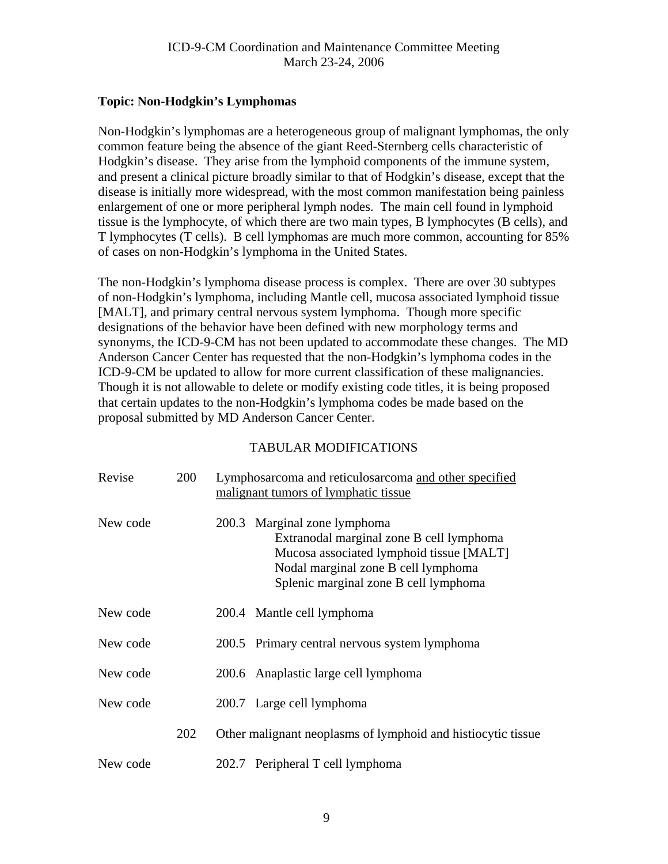## <span id="page-8-0"></span>**Topic: Non-Hodgkin's Lymphomas**

Non-Hodgkin's lymphomas are a heterogeneous group of malignant lymphomas, the only common feature being the absence of the giant Reed-Sternberg cells characteristic of Hodgkin's disease. They arise from the lymphoid components of the immune system, and present a clinical picture broadly similar to that of Hodgkin's disease, except that the disease is initially more widespread, with the most common manifestation being painless enlargement of one or more peripheral lymph nodes. The main cell found in lymphoid tissue is the lymphocyte, of which there are two main types, B lymphocytes (B cells), and T lymphocytes (T cells). B cell lymphomas are much more common, accounting for 85% of cases on non-Hodgkin's lymphoma in the United States.

The non-Hodgkin's lymphoma disease process is complex. There are over 30 subtypes of non-Hodgkin's lymphoma, including Mantle cell, mucosa associated lymphoid tissue [MALT], and primary central nervous system lymphoma. Though more specific designations of the behavior have been defined with new morphology terms and synonyms, the ICD-9-CM has not been updated to accommodate these changes. The MD Anderson Cancer Center has requested that the non-Hodgkin's lymphoma codes in the ICD-9-CM be updated to allow for more current classification of these malignancies. Though it is not allowable to delete or modify existing code titles, it is being proposed that certain updates to the non-Hodgkin's lymphoma codes be made based on the proposal submitted by MD Anderson Cancer Center.

| Revise   | 200 | Lymphosarcoma and reticulosarcoma and other specified<br>malignant tumors of lymphatic tissue |                                                                                                                                                                                                      |  |
|----------|-----|-----------------------------------------------------------------------------------------------|------------------------------------------------------------------------------------------------------------------------------------------------------------------------------------------------------|--|
| New code |     |                                                                                               | 200.3 Marginal zone lymphoma<br>Extranodal marginal zone B cell lymphoma<br>Mucosa associated lymphoid tissue [MALT]<br>Nodal marginal zone B cell lymphoma<br>Splenic marginal zone B cell lymphoma |  |
| New code |     |                                                                                               | 200.4 Mantle cell lymphoma                                                                                                                                                                           |  |
| New code |     |                                                                                               | 200.5 Primary central nervous system lymphoma                                                                                                                                                        |  |
| New code |     |                                                                                               | 200.6 Anaplastic large cell lymphoma                                                                                                                                                                 |  |
| New code |     |                                                                                               | 200.7 Large cell lymphoma                                                                                                                                                                            |  |
|          | 202 | Other malignant neoplasms of lymphoid and histiocytic tissue                                  |                                                                                                                                                                                                      |  |
| New code |     |                                                                                               | 202.7 Peripheral T cell lymphoma                                                                                                                                                                     |  |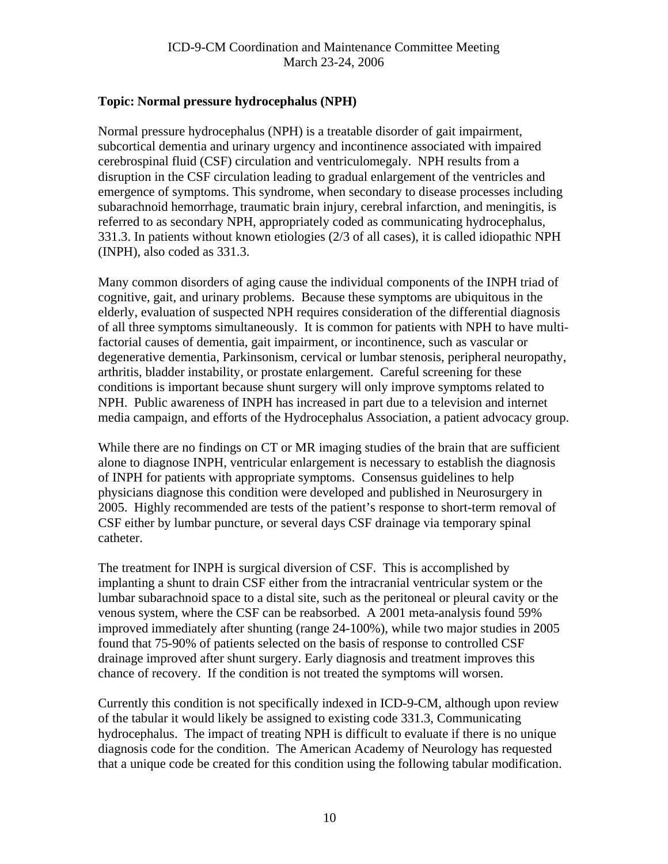# <span id="page-9-0"></span>**Topic: Normal pressure hydrocephalus (NPH)**

Normal pressure hydrocephalus (NPH) is a treatable disorder of gait impairment, subcortical dementia and urinary urgency and incontinence associated with impaired cerebrospinal fluid (CSF) circulation and ventriculomegaly. NPH results from a disruption in the CSF circulation leading to gradual enlargement of the ventricles and emergence of symptoms. This syndrome, when secondary to disease processes including subarachnoid hemorrhage, traumatic brain injury, cerebral infarction, and meningitis, is referred to as secondary NPH, appropriately coded as communicating hydrocephalus, 331.3. In patients without known etiologies (2/3 of all cases), it is called idiopathic NPH (INPH), also coded as 331.3.

Many common disorders of aging cause the individual components of the INPH triad of cognitive, gait, and urinary problems. Because these symptoms are ubiquitous in the elderly, evaluation of suspected NPH requires consideration of the differential diagnosis of all three symptoms simultaneously. It is common for patients with NPH to have multifactorial causes of dementia, gait impairment, or incontinence, such as vascular or degenerative dementia, Parkinsonism, cervical or lumbar stenosis, peripheral neuropathy, arthritis, bladder instability, or prostate enlargement. Careful screening for these conditions is important because shunt surgery will only improve symptoms related to NPH. Public awareness of INPH has increased in part due to a television and internet media campaign, and efforts of the Hydrocephalus Association, a patient advocacy group.

While there are no findings on CT or MR imaging studies of the brain that are sufficient alone to diagnose INPH, ventricular enlargement is necessary to establish the diagnosis of INPH for patients with appropriate symptoms. Consensus guidelines to help physicians diagnose this condition were developed and published in Neurosurgery in 2005. Highly recommended are tests of the patient's response to short-term removal of CSF either by lumbar puncture, or several days CSF drainage via temporary spinal catheter.

The treatment for INPH is surgical diversion of CSF. This is accomplished by implanting a shunt to drain CSF either from the intracranial ventricular system or the lumbar subarachnoid space to a distal site, such as the peritoneal or pleural cavity or the venous system, where the CSF can be reabsorbed. A 2001 meta-analysis found 59% improved immediately after shunting (range 24-100%), while two major studies in 2005 found that 75-90% of patients selected on the basis of response to controlled CSF drainage improved after shunt surgery. Early diagnosis and treatment improves this chance of recovery. If the condition is not treated the symptoms will worsen.

Currently this condition is not specifically indexed in ICD-9-CM, although upon review of the tabular it would likely be assigned to existing code 331.3, Communicating hydrocephalus. The impact of treating NPH is difficult to evaluate if there is no unique diagnosis code for the condition. The American Academy of Neurology has requested that a unique code be created for this condition using the following tabular modification.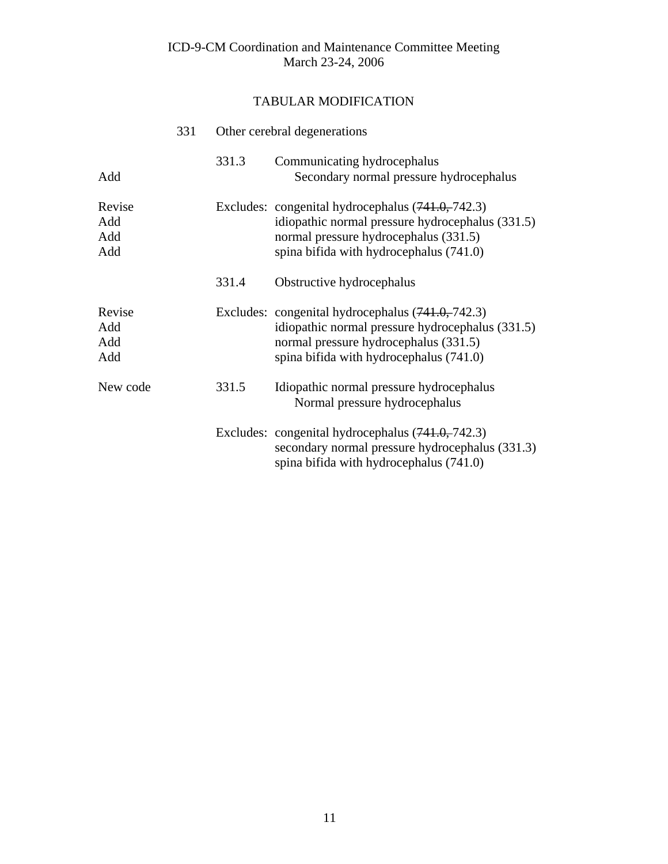|                             | 331 | Other cerebral degenerations |                                                                                                                                                                                             |  |
|-----------------------------|-----|------------------------------|---------------------------------------------------------------------------------------------------------------------------------------------------------------------------------------------|--|
| Add                         |     | 331.3                        | Communicating hydrocephalus<br>Secondary normal pressure hydrocephalus                                                                                                                      |  |
| Revise<br>Add<br>Add<br>Add |     |                              | Excludes: congenital hydrocephalus $(741.0, 742.3)$<br>idiopathic normal pressure hydrocephalus (331.5)<br>normal pressure hydrocephalus (331.5)<br>spina bifida with hydrocephalus (741.0) |  |
|                             |     | 331.4                        | Obstructive hydrocephalus                                                                                                                                                                   |  |
| Revise<br>Add<br>Add<br>Add |     |                              | Excludes: congenital hydrocephalus (741.0, 742.3)<br>idiopathic normal pressure hydrocephalus (331.5)<br>normal pressure hydrocephalus (331.5)<br>spina bifida with hydrocephalus (741.0)   |  |
| New code                    |     | 331.5                        | Idiopathic normal pressure hydrocephalus<br>Normal pressure hydrocephalus                                                                                                                   |  |
|                             |     |                              | Excludes: congenital hydrocephalus $(741.0, 742.3)$<br>secondary normal pressure hydrocephalus (331.3)<br>spina bifida with hydrocephalus (741.0)                                           |  |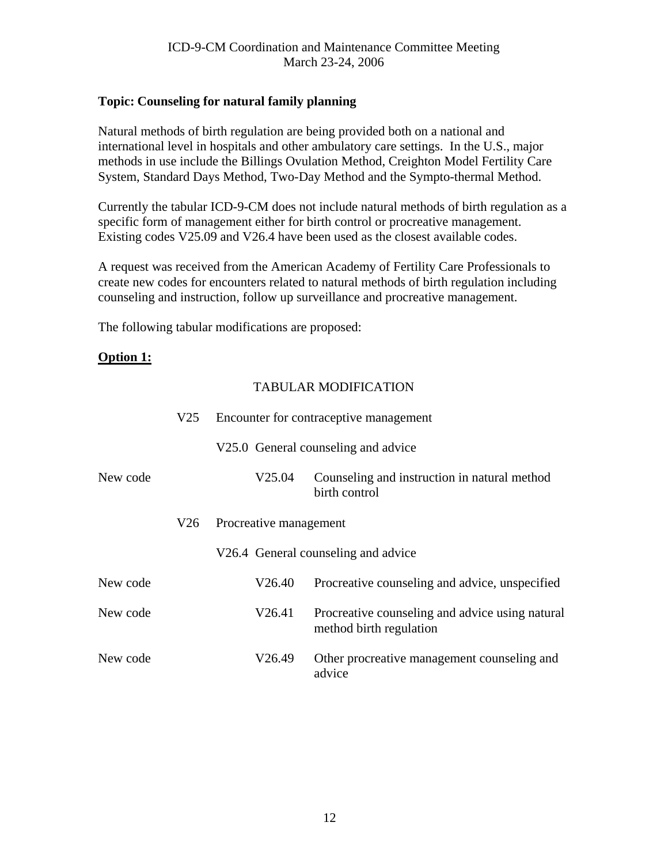# <span id="page-11-0"></span>**Topic: Counseling for natural family planning**

Natural methods of birth regulation are being provided both on a national and international level in hospitals and other ambulatory care settings. In the U.S., major methods in use include the Billings Ovulation Method, Creighton Model Fertility Care System, Standard Days Method, Two-Day Method and the Sympto-thermal Method.

Currently the tabular ICD-9-CM does not include natural methods of birth regulation as a specific form of management either for birth control or procreative management. Existing codes V25.09 and V26.4 have been used as the closest available codes.

A request was received from the American Academy of Fertility Care Professionals to create new codes for encounters related to natural methods of birth regulation including counseling and instruction, follow up surveillance and procreative management.

The following tabular modifications are proposed:

## **Option 1:**

|          | V25 | Encounter for contraceptive management |                                                                            |  |  |
|----------|-----|----------------------------------------|----------------------------------------------------------------------------|--|--|
|          |     |                                        | V25.0 General counseling and advice                                        |  |  |
| New code |     | V25.04                                 | Counseling and instruction in natural method<br>birth control              |  |  |
|          | V26 | Procreative management                 |                                                                            |  |  |
|          |     |                                        | V26.4 General counseling and advice                                        |  |  |
| New code |     | V26.40                                 | Procreative counseling and advice, unspecified                             |  |  |
| New code |     | V26.41                                 | Procreative counseling and advice using natural<br>method birth regulation |  |  |
| New code |     | V26.49                                 | Other procreative management counseling and<br>advice                      |  |  |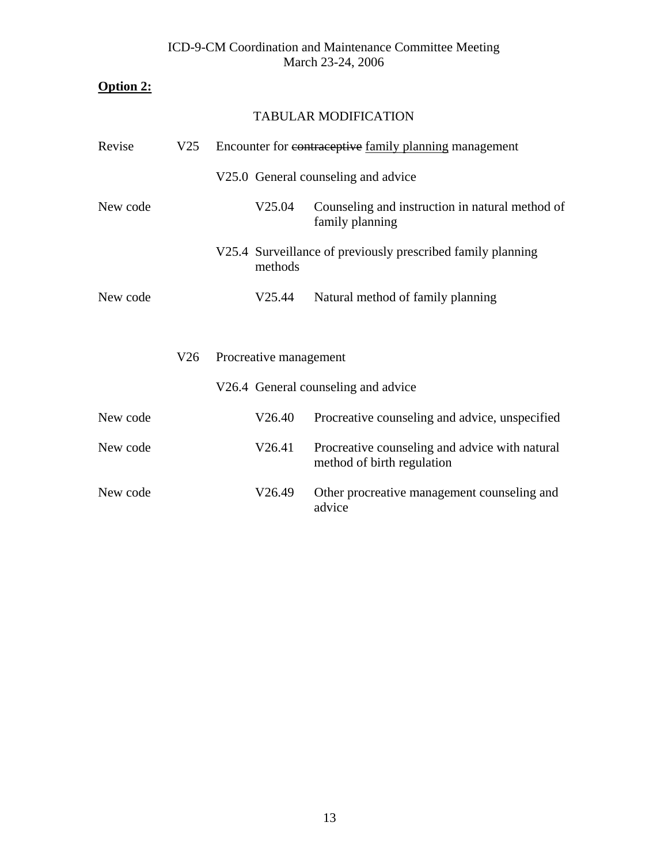# **Option 2:**

| Revise   | V25 | Encounter for contraceptive family planning management |                                     |                                                                              |
|----------|-----|--------------------------------------------------------|-------------------------------------|------------------------------------------------------------------------------|
|          |     |                                                        | V25.0 General counseling and advice |                                                                              |
| New code |     |                                                        | V <sub>25.04</sub>                  | Counseling and instruction in natural method of<br>family planning           |
|          |     |                                                        | methods                             | V25.4 Surveillance of previously prescribed family planning                  |
| New code |     |                                                        | V25.44                              | Natural method of family planning                                            |
|          |     |                                                        |                                     |                                                                              |
|          | V26 |                                                        | Procreative management              |                                                                              |
|          |     |                                                        | V26.4 General counseling and advice |                                                                              |
| New code |     |                                                        | V26.40                              | Procreative counseling and advice, unspecified                               |
| New code |     |                                                        | V26.41                              | Procreative counseling and advice with natural<br>method of birth regulation |
| New code |     |                                                        | V26.49                              | Other procreative management counseling and<br>advice                        |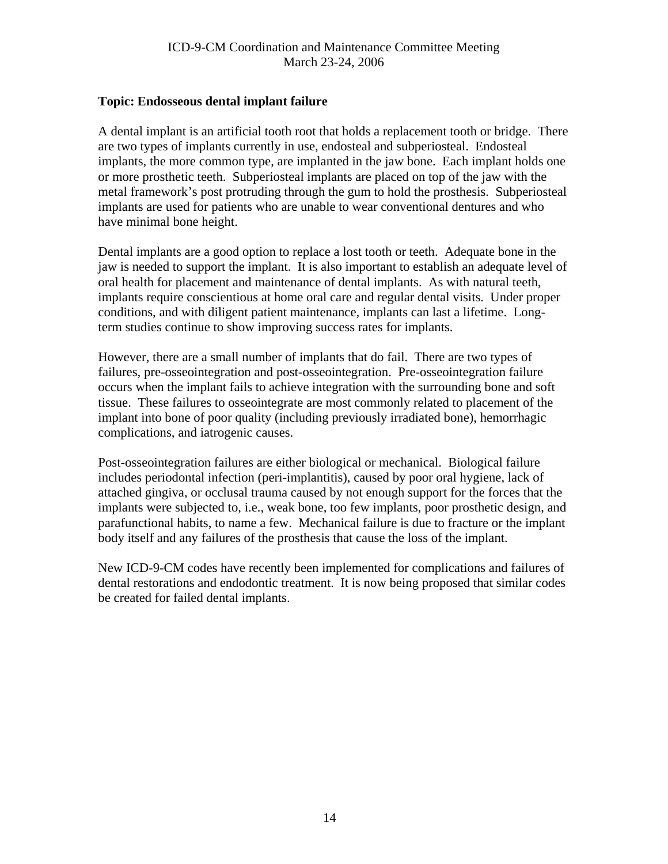#### <span id="page-13-0"></span>**Topic: Endosseous dental implant failure**

A dental implant is an artificial tooth root that holds a replacement tooth or bridge. There are two types of implants currently in use, endosteal and subperiosteal. Endosteal implants, the more common type, are implanted in the jaw bone. Each implant holds one or more prosthetic teeth. Subperiosteal implants are placed on top of the jaw with the metal framework's post protruding through the gum to hold the prosthesis. Subperiosteal implants are used for patients who are unable to wear conventional dentures and who have minimal bone height.

Dental implants are a good option to replace a lost tooth or teeth. Adequate bone in the jaw is needed to support the implant. It is also important to establish an adequate level of oral health for placement and maintenance of dental implants. As with natural teeth, implants require conscientious at home oral care and regular dental visits. Under proper conditions, and with diligent patient maintenance, implants can last a lifetime. Longterm studies continue to show improving success rates for implants.

However, there are a small number of implants that do fail. There are two types of failures, pre-osseointegration and post-osseointegration. Pre-osseointegration failure occurs when the implant fails to achieve integration with the surrounding bone and soft tissue. These failures to osseointegrate are most commonly related to placement of the implant into bone of poor quality (including previously irradiated bone), hemorrhagic complications, and iatrogenic causes.

Post-osseointegration failures are either biological or mechanical. Biological failure includes periodontal infection (peri-implantitis), caused by poor oral hygiene, lack of attached gingiva, or occlusal trauma caused by not enough support for the forces that the implants were subjected to, i.e., weak bone, too few implants, poor prosthetic design, and parafunctional habits, to name a few. Mechanical failure is due to fracture or the implant body itself and any failures of the prosthesis that cause the loss of the implant.

New ICD-9-CM codes have recently been implemented for complications and failures of dental restorations and endodontic treatment. It is now being proposed that similar codes be created for failed dental implants.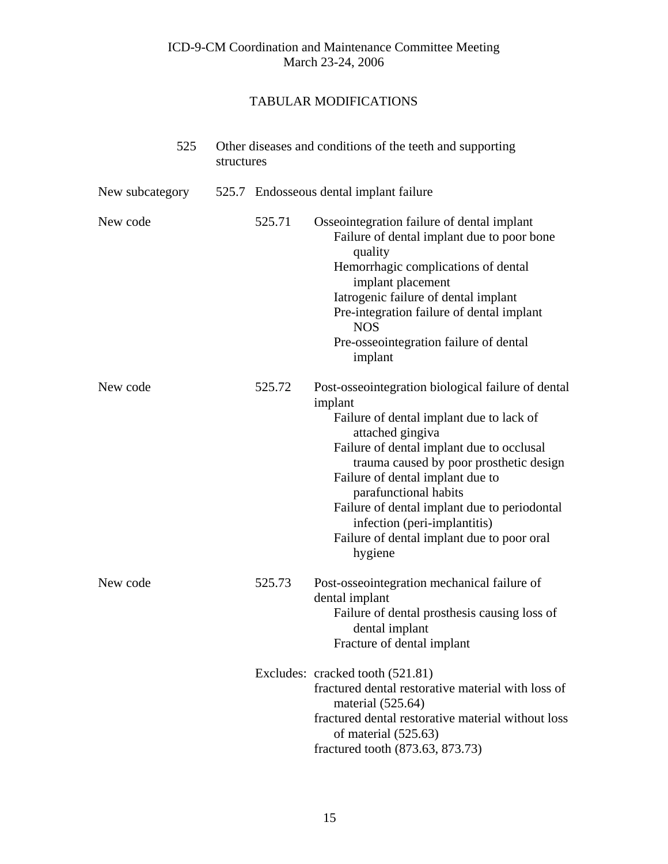|                 | 525 | structures |        | Other diseases and conditions of the teeth and supporting                                                                                                                                                                                                                                                                                                                                                                   |
|-----------------|-----|------------|--------|-----------------------------------------------------------------------------------------------------------------------------------------------------------------------------------------------------------------------------------------------------------------------------------------------------------------------------------------------------------------------------------------------------------------------------|
| New subcategory |     |            |        | 525.7 Endosseous dental implant failure                                                                                                                                                                                                                                                                                                                                                                                     |
| New code        |     |            | 525.71 | Osseointegration failure of dental implant<br>Failure of dental implant due to poor bone<br>quality<br>Hemorrhagic complications of dental<br>implant placement<br>Iatrogenic failure of dental implant<br>Pre-integration failure of dental implant<br><b>NOS</b><br>Pre-osseointegration failure of dental<br>implant                                                                                                     |
| New code        |     |            | 525.72 | Post-osseointegration biological failure of dental<br>implant<br>Failure of dental implant due to lack of<br>attached gingiva<br>Failure of dental implant due to occlusal<br>trauma caused by poor prosthetic design<br>Failure of dental implant due to<br>parafunctional habits<br>Failure of dental implant due to periodontal<br>infection (peri-implantitis)<br>Failure of dental implant due to poor oral<br>hygiene |
| New code        |     |            | 525.73 | Post-osseointegration mechanical failure of<br>dental implant<br>Failure of dental prosthesis causing loss of<br>dental implant<br>Fracture of dental implant                                                                                                                                                                                                                                                               |
|                 |     |            |        | Excludes: cracked tooth (521.81)<br>fractured dental restorative material with loss of<br>material $(525.64)$<br>fractured dental restorative material without loss<br>of material $(525.63)$<br>fractured tooth (873.63, 873.73)                                                                                                                                                                                           |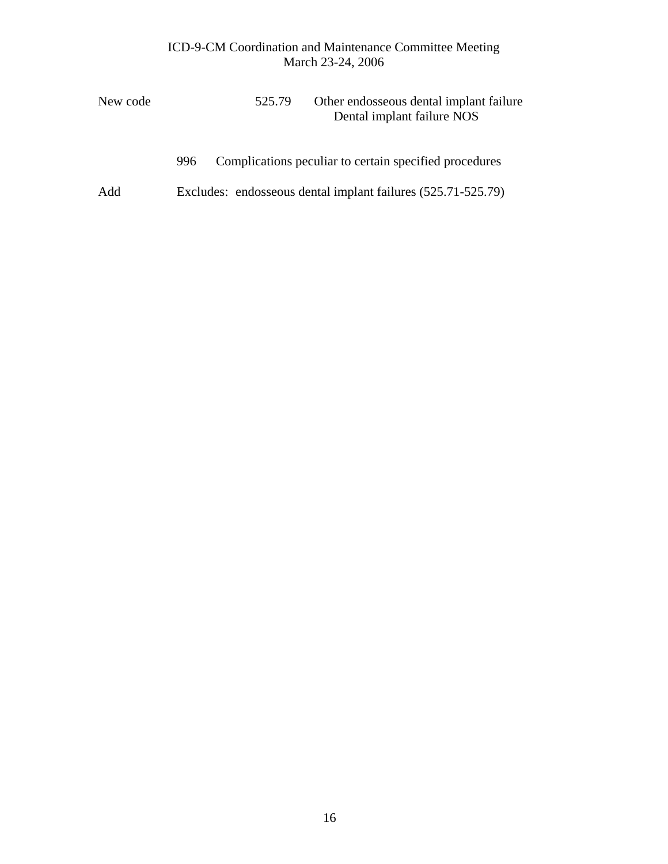| New code | Other endosseous dental implant failure<br>525.79<br>Dental implant failure NOS |  |
|----------|---------------------------------------------------------------------------------|--|
|          | Complications peculiar to certain specified procedures<br>996                   |  |
| Add      | Excludes: endosseous dental implant failures (525.71-525.79)                    |  |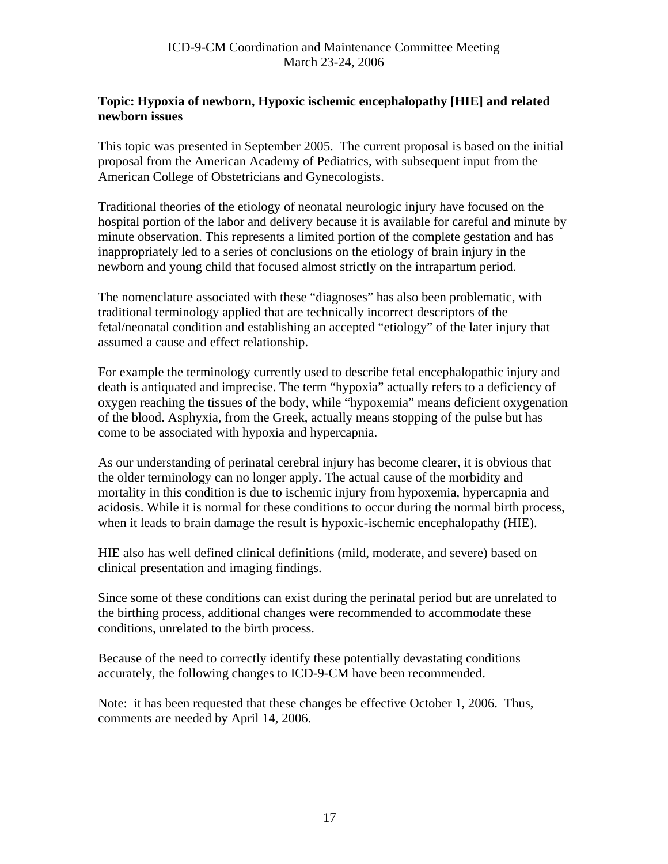## <span id="page-16-0"></span>**Topic: Hypoxia of newborn, Hypoxic ischemic encephalopathy [HIE] and related newborn issues**

This topic was presented in September 2005. The current proposal is based on the initial proposal from the American Academy of Pediatrics, with subsequent input from the American College of Obstetricians and Gynecologists.

Traditional theories of the etiology of neonatal neurologic injury have focused on the hospital portion of the labor and delivery because it is available for careful and minute by minute observation. This represents a limited portion of the complete gestation and has inappropriately led to a series of conclusions on the etiology of brain injury in the newborn and young child that focused almost strictly on the intrapartum period.

The nomenclature associated with these "diagnoses" has also been problematic, with traditional terminology applied that are technically incorrect descriptors of the fetal/neonatal condition and establishing an accepted "etiology" of the later injury that assumed a cause and effect relationship.

For example the terminology currently used to describe fetal encephalopathic injury and death is antiquated and imprecise. The term "hypoxia" actually refers to a deficiency of oxygen reaching the tissues of the body, while "hypoxemia" means deficient oxygenation of the blood. Asphyxia, from the Greek, actually means stopping of the pulse but has come to be associated with hypoxia and hypercapnia.

As our understanding of perinatal cerebral injury has become clearer, it is obvious that the older terminology can no longer apply. The actual cause of the morbidity and mortality in this condition is due to ischemic injury from hypoxemia, hypercapnia and acidosis. While it is normal for these conditions to occur during the normal birth process, when it leads to brain damage the result is hypoxic-ischemic encephalopathy (HIE).

HIE also has well defined clinical definitions (mild, moderate, and severe) based on clinical presentation and imaging findings.

Since some of these conditions can exist during the perinatal period but are unrelated to the birthing process, additional changes were recommended to accommodate these conditions, unrelated to the birth process.

Because of the need to correctly identify these potentially devastating conditions accurately, the following changes to ICD-9-CM have been recommended.

Note: it has been requested that these changes be effective October 1, 2006. Thus, comments are needed by April 14, 2006.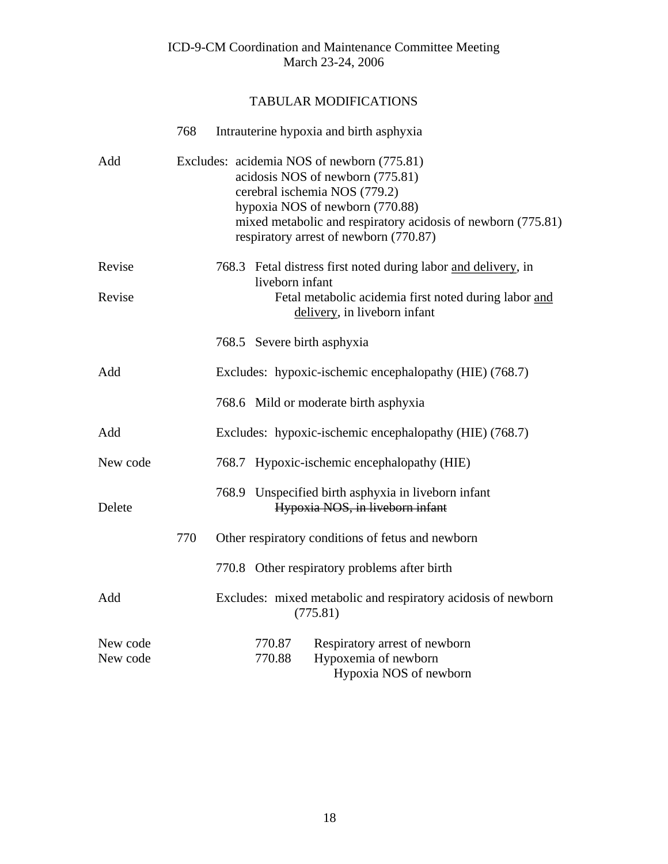|                      | 768 | Intrauterine hypoxia and birth asphyxia                                                                                                                                                                                                                      |                  |                                                                                        |  |  |  |
|----------------------|-----|--------------------------------------------------------------------------------------------------------------------------------------------------------------------------------------------------------------------------------------------------------------|------------------|----------------------------------------------------------------------------------------|--|--|--|
| Add                  |     | Excludes: acidemia NOS of newborn (775.81)<br>acidosis NOS of newborn (775.81)<br>cerebral ischemia NOS (779.2)<br>hypoxia NOS of newborn (770.88)<br>mixed metabolic and respiratory acidosis of newborn (775.81)<br>respiratory arrest of newborn (770.87) |                  |                                                                                        |  |  |  |
| Revise               |     |                                                                                                                                                                                                                                                              | liveborn infant  | 768.3 Fetal distress first noted during labor and delivery, in                         |  |  |  |
| Revise               |     |                                                                                                                                                                                                                                                              |                  | Fetal metabolic acidemia first noted during labor and<br>delivery, in liveborn infant  |  |  |  |
|                      |     |                                                                                                                                                                                                                                                              |                  | 768.5 Severe birth asphyxia                                                            |  |  |  |
| Add                  |     |                                                                                                                                                                                                                                                              |                  | Excludes: hypoxic-ischemic encephalopathy (HIE) (768.7)                                |  |  |  |
|                      |     |                                                                                                                                                                                                                                                              |                  | 768.6 Mild or moderate birth asphyxia                                                  |  |  |  |
| Add                  |     |                                                                                                                                                                                                                                                              |                  | Excludes: hypoxic-ischemic encephalopathy (HIE) (768.7)                                |  |  |  |
| New code             |     |                                                                                                                                                                                                                                                              |                  | 768.7 Hypoxic-ischemic encephalopathy (HIE)                                            |  |  |  |
| Delete               |     |                                                                                                                                                                                                                                                              |                  | 768.9 Unspecified birth asphyxia in liveborn infant<br>Hypoxia NOS, in liveborn infant |  |  |  |
|                      | 770 |                                                                                                                                                                                                                                                              |                  | Other respiratory conditions of fetus and newborn                                      |  |  |  |
|                      |     |                                                                                                                                                                                                                                                              |                  | 770.8 Other respiratory problems after birth                                           |  |  |  |
| Add                  |     | Excludes: mixed metabolic and respiratory acidosis of newborn<br>(775.81)                                                                                                                                                                                    |                  |                                                                                        |  |  |  |
| New code<br>New code |     |                                                                                                                                                                                                                                                              | 770.87<br>770.88 | Respiratory arrest of newborn<br>Hypoxemia of newborn<br>Hypoxia NOS of newborn        |  |  |  |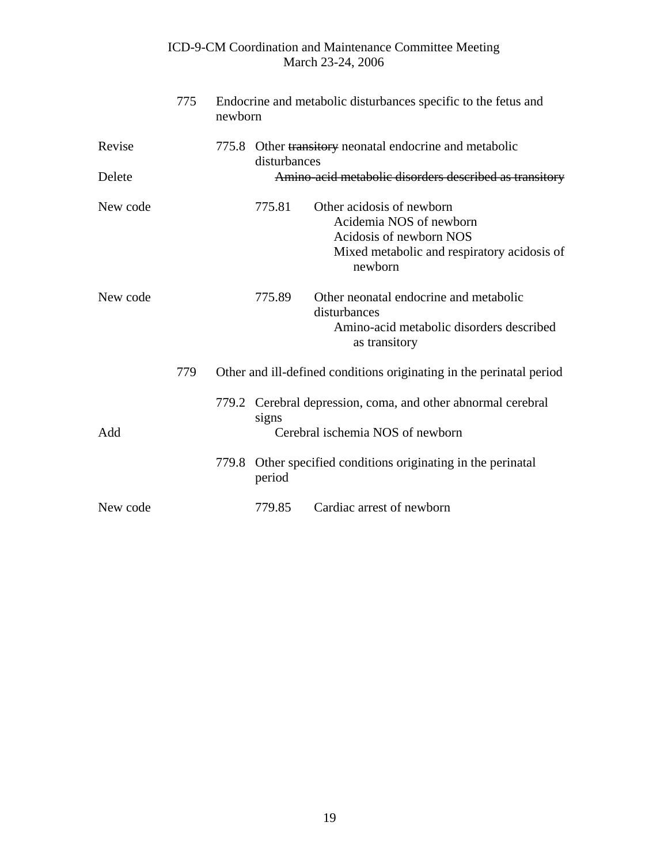|          | 775 | newborn | Endocrine and metabolic disturbances specific to the fetus and          |                                                                                                                                           |  |  |
|----------|-----|---------|-------------------------------------------------------------------------|-------------------------------------------------------------------------------------------------------------------------------------------|--|--|
| Revise   |     |         | 775.8 Other transitory neonatal endocrine and metabolic<br>disturbances |                                                                                                                                           |  |  |
| Delete   |     |         |                                                                         | Amino-acid metabolic disorders described as transitory                                                                                    |  |  |
| New code |     |         | 775.81                                                                  | Other acidosis of newborn<br>Acidemia NOS of newborn<br>Acidosis of newborn NOS<br>Mixed metabolic and respiratory acidosis of<br>newborn |  |  |
| New code |     |         | 775.89                                                                  | Other neonatal endocrine and metabolic<br>disturbances<br>Amino-acid metabolic disorders described<br>as transitory                       |  |  |
|          | 779 |         |                                                                         | Other and ill-defined conditions originating in the perinatal period                                                                      |  |  |
| Add      |     |         | signs                                                                   | 779.2 Cerebral depression, coma, and other abnormal cerebral<br>Cerebral ischemia NOS of newborn                                          |  |  |
|          |     |         | period                                                                  | 779.8 Other specified conditions originating in the perinatal                                                                             |  |  |
| New code |     |         | 779.85                                                                  | Cardiac arrest of newborn                                                                                                                 |  |  |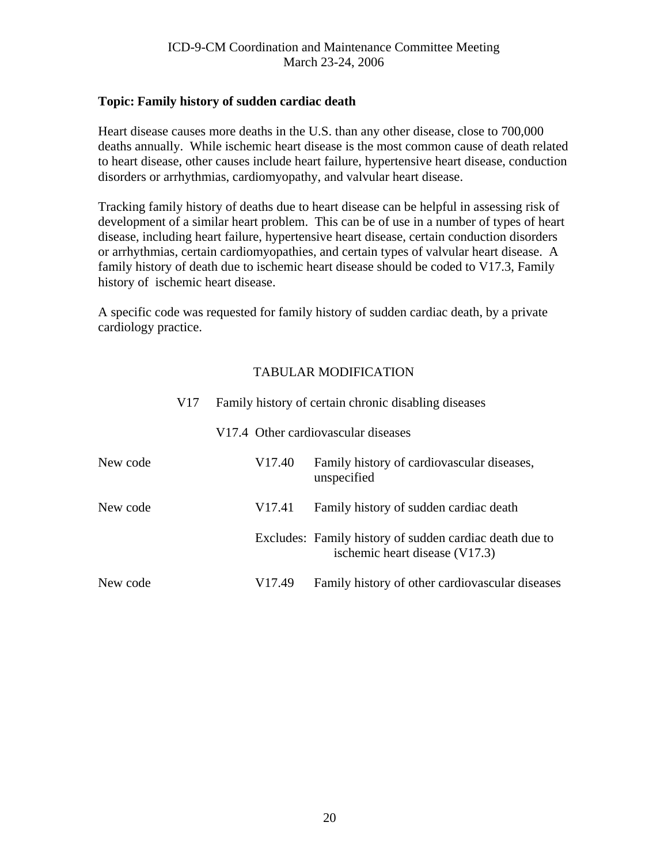#### <span id="page-19-0"></span>**Topic: Family history of sudden cardiac death**

Heart disease causes more deaths in the U.S. than any other disease, close to 700,000 deaths annually. While ischemic heart disease is the most common cause of death related to heart disease, other causes include heart failure, hypertensive heart disease, conduction disorders or arrhythmias, cardiomyopathy, and valvular heart disease.

Tracking family history of deaths due to heart disease can be helpful in assessing risk of development of a similar heart problem. This can be of use in a number of types of heart disease, including heart failure, hypertensive heart disease, certain conduction disorders or arrhythmias, certain cardiomyopathies, and certain types of valvular heart disease. A family history of death due to ischemic heart disease should be coded to V17.3, Family history of ischemic heart disease.

A specific code was requested for family history of sudden cardiac death, by a private cardiology practice.

|          | V <sub>17</sub> | Family history of certain chronic disabling diseases |                    |                                                                                           |  |  |
|----------|-----------------|------------------------------------------------------|--------------------|-------------------------------------------------------------------------------------------|--|--|
|          |                 |                                                      |                    | V17.4 Other cardiovascular diseases                                                       |  |  |
| New code |                 |                                                      | V <sub>17.40</sub> | Family history of cardiovascular diseases,<br>unspecified                                 |  |  |
| New code |                 |                                                      | V <sub>17.41</sub> | Family history of sudden cardiac death                                                    |  |  |
|          |                 |                                                      |                    | Excludes: Family history of sudden cardiac death due to<br>ischemic heart disease (V17.3) |  |  |
| New code |                 |                                                      | V <sub>17.49</sub> | Family history of other cardiovascular diseases                                           |  |  |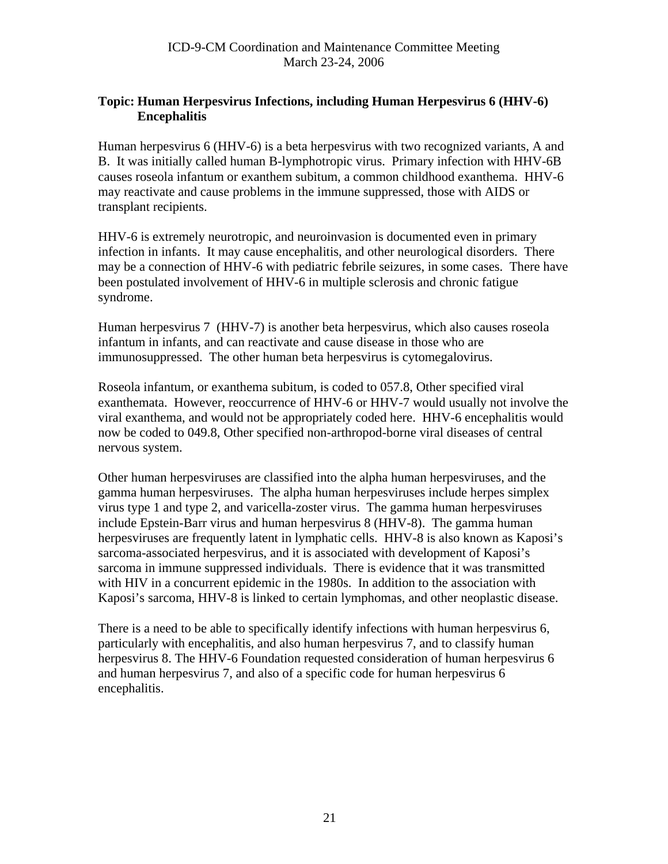# <span id="page-20-0"></span>**Topic: Human Herpesvirus Infections, including Human Herpesvirus 6 (HHV-6) Encephalitis**

Human herpesvirus 6 (HHV-6) is a beta herpesvirus with two recognized variants, A and B. It was initially called human B-lymphotropic virus. Primary infection with HHV-6B causes roseola infantum or exanthem subitum, a common childhood exanthema. HHV-6 may reactivate and cause problems in the immune suppressed, those with AIDS or transplant recipients.

HHV-6 is extremely neurotropic, and neuroinvasion is documented even in primary infection in infants. It may cause encephalitis, and other neurological disorders. There may be a connection of HHV-6 with pediatric febrile seizures, in some cases. There have been postulated involvement of HHV-6 in multiple sclerosis and chronic fatigue syndrome.

Human herpesvirus 7 (HHV-7) is another beta herpesvirus, which also causes roseola infantum in infants, and can reactivate and cause disease in those who are immunosuppressed. The other human beta herpesvirus is cytomegalovirus.

Roseola infantum, or exanthema subitum, is coded to 057.8, Other specified viral exanthemata. However, reoccurrence of HHV-6 or HHV-7 would usually not involve the viral exanthema, and would not be appropriately coded here. HHV-6 encephalitis would now be coded to 049.8, Other specified non-arthropod-borne viral diseases of central nervous system.

Other human herpesviruses are classified into the alpha human herpesviruses, and the gamma human herpesviruses. The alpha human herpesviruses include herpes simplex virus type 1 and type 2, and varicella-zoster virus. The gamma human herpesviruses include Epstein-Barr virus and human herpesvirus 8 (HHV-8). The gamma human herpesviruses are frequently latent in lymphatic cells. HHV-8 is also known as Kaposi's sarcoma-associated herpesvirus, and it is associated with development of Kaposi's sarcoma in immune suppressed individuals. There is evidence that it was transmitted with HIV in a concurrent epidemic in the 1980s. In addition to the association with Kaposi's sarcoma, HHV-8 is linked to certain lymphomas, and other neoplastic disease.

There is a need to be able to specifically identify infections with human herpesvirus 6, particularly with encephalitis, and also human herpesvirus 7, and to classify human herpesvirus 8. The HHV-6 Foundation requested consideration of human herpesvirus 6 and human herpesvirus 7, and also of a specific code for human herpesvirus 6 encephalitis.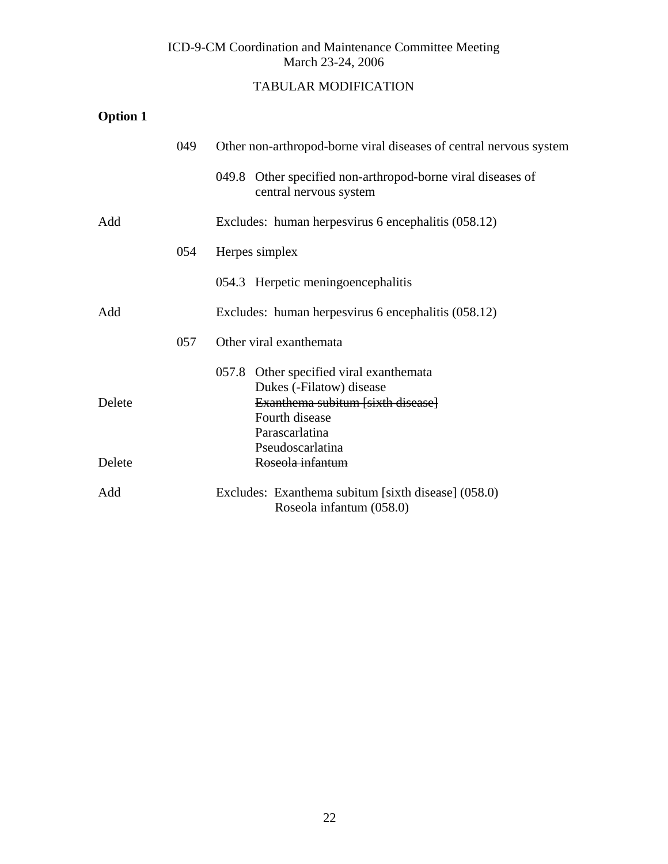# TABULAR MODIFICATION

# **Option 1**

|        | 049 | Other non-arthropod-borne viral diseases of central nervous system                                                                           |
|--------|-----|----------------------------------------------------------------------------------------------------------------------------------------------|
|        |     | 049.8 Other specified non-arthropod-borne viral diseases of<br>central nervous system                                                        |
| Add    |     | Excludes: human herpesvirus 6 encephalitis (058.12)                                                                                          |
|        | 054 | Herpes simplex                                                                                                                               |
|        |     | 054.3 Herpetic meningoencephalitis                                                                                                           |
| Add    |     | Excludes: human herpesvirus 6 encephalitis (058.12)                                                                                          |
|        | 057 | Other viral exanthemata                                                                                                                      |
| Delete |     | 057.8 Other specified viral exanthemata<br>Dukes (-Filatow) disease<br>Exanthema subitum [sixth disease]<br>Fourth disease<br>Parascarlatina |
| Delete |     | Pseudoscarlatina<br>Roseola infantum                                                                                                         |
| Add    |     | Excludes: Exanthema subitum [sixth disease] (058.0)<br>Roseola infantum (058.0)                                                              |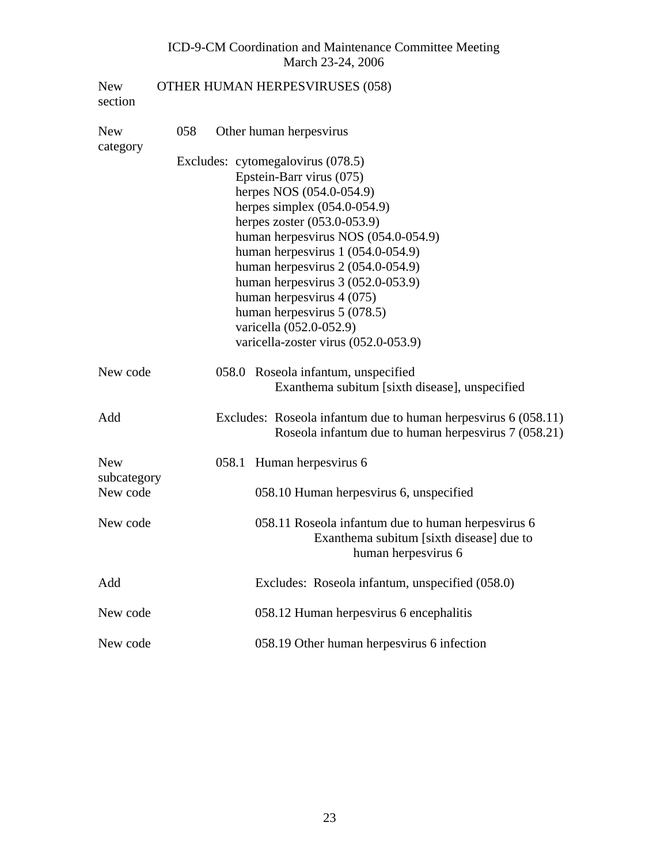| <b>New</b><br>section     |     |       | OTHER HUMAN HERPESVIRUSES (058)                                                                                        |
|---------------------------|-----|-------|------------------------------------------------------------------------------------------------------------------------|
| <b>New</b><br>category    | 058 |       | Other human herpesvirus                                                                                                |
|                           |     |       | Excludes: cytomegalovirus (078.5)                                                                                      |
|                           |     |       | Epstein-Barr virus (075)                                                                                               |
|                           |     |       | herpes NOS (054.0-054.9)                                                                                               |
|                           |     |       | herpes simplex $(054.0-054.9)$                                                                                         |
|                           |     |       | herpes zoster (053.0-053.9)                                                                                            |
|                           |     |       | human herpesvirus NOS (054.0-054.9)                                                                                    |
|                           |     |       | human herpesvirus 1 (054.0-054.9)                                                                                      |
|                           |     |       | human herpesvirus $2(054.0-054.9)$                                                                                     |
|                           |     |       | human herpesvirus $3(052.0-053.9)$                                                                                     |
|                           |     |       | human herpesvirus 4 (075)                                                                                              |
|                           |     |       | human herpesvirus $5(078.5)$                                                                                           |
|                           |     |       | varicella (052.0-052.9)                                                                                                |
|                           |     |       | varicella-zoster virus (052.0-053.9)                                                                                   |
| New code                  |     |       | 058.0 Roseola infantum, unspecified<br>Exanthema subitum [sixth disease], unspecified                                  |
| Add                       |     |       | Excludes: Roseola infantum due to human herpesvirus 6 (058.11)<br>Roseola infantum due to human herpesvirus 7 (058.21) |
| <b>New</b><br>subcategory |     | 058.1 | Human herpesvirus 6                                                                                                    |
| New code                  |     |       | 058.10 Human herpesvirus 6, unspecified                                                                                |
| New code                  |     |       | 058.11 Roseola infantum due to human herpesvirus 6<br>Exanthema subitum [sixth disease] due to<br>human herpesvirus 6  |
| Add                       |     |       | Excludes: Roseola infantum, unspecified (058.0)                                                                        |
| New code                  |     |       | 058.12 Human herpesvirus 6 encephalitis                                                                                |
| New code                  |     |       | 058.19 Other human herpesvirus 6 infection                                                                             |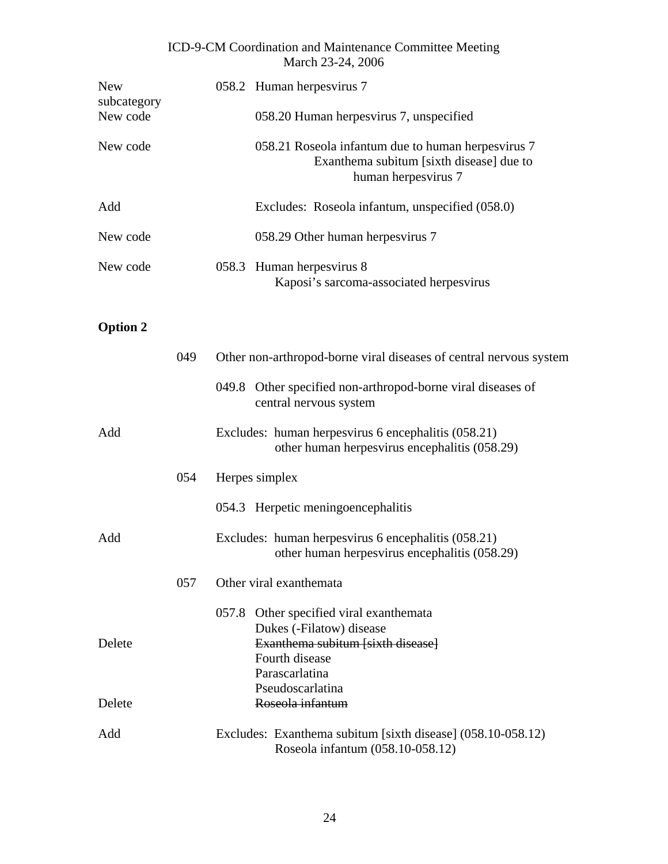| <b>New</b><br>subcategory | 058.2 Human herpesvirus 7                                                                                             |
|---------------------------|-----------------------------------------------------------------------------------------------------------------------|
| New code                  | 058.20 Human herpesvirus 7, unspecified                                                                               |
| New code                  | 058.21 Roseola infantum due to human herpesvirus 7<br>Exanthema subitum [sixth disease] due to<br>human herpesvirus 7 |
| Add                       | Excludes: Roseola infantum, unspecified (058.0)                                                                       |
| New code                  | 058.29 Other human herpesvirus 7                                                                                      |
| New code                  | 058.3 Human herpesvirus 8<br>Kaposi's sarcoma-associated herpesvirus                                                  |

# **Option 2**

|        | 049 | Other non-arthropod-borne viral diseases of central nervous system                                       |
|--------|-----|----------------------------------------------------------------------------------------------------------|
|        |     | 049.8 Other specified non-arthropod-borne viral diseases of<br>central nervous system                    |
| Add    |     | Excludes: human herpesvirus 6 encephalitis (058.21)<br>other human herpesvirus encephalitis (058.29)     |
|        | 054 | Herpes simplex                                                                                           |
|        |     | 054.3 Herpetic meningoencephalitis                                                                       |
| Add    |     | Excludes: human herpesvirus 6 encephalitis (058.21)<br>other human herpesvirus encephalitis (058.29)     |
|        | 057 | Other viral exanthemata                                                                                  |
| Delete |     | 057.8 Other specified viral exanthemata<br>Dukes (-Filatow) disease<br>Exanthema subitum [sixth disease] |
|        |     | Fourth disease<br>Parascarlatina                                                                         |
| Delete |     | Pseudoscarlatina<br>Roseola infantum                                                                     |
| Add    |     | Excludes: Exanthema subitum [sixth disease] (058.10-058.12)<br>Roseola infantum (058.10-058.12)          |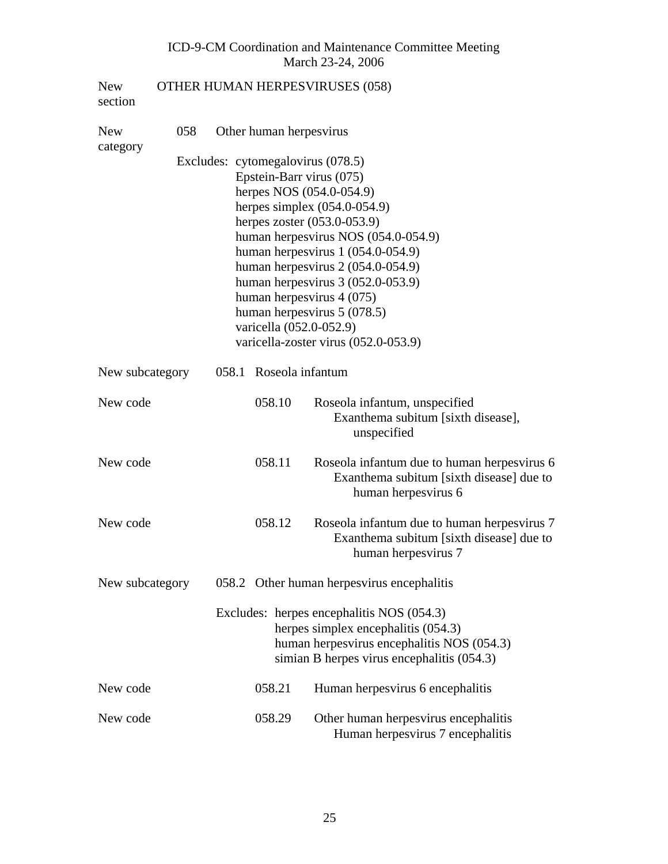| <b>New</b><br>section  |     |                          |                         | <b>OTHER HUMAN HERPESVIRUSES (058)</b>                                                                                                                                       |  |  |  |  |
|------------------------|-----|--------------------------|-------------------------|------------------------------------------------------------------------------------------------------------------------------------------------------------------------------|--|--|--|--|
| <b>New</b><br>category | 058 |                          | Other human herpesvirus |                                                                                                                                                                              |  |  |  |  |
|                        |     |                          |                         | Excludes: cytomegalovirus (078.5)                                                                                                                                            |  |  |  |  |
|                        |     | Epstein-Barr virus (075) |                         |                                                                                                                                                                              |  |  |  |  |
|                        |     |                          |                         | herpes NOS (054.0-054.9)                                                                                                                                                     |  |  |  |  |
|                        |     |                          |                         | herpes simplex $(054.0-054.9)$                                                                                                                                               |  |  |  |  |
|                        |     |                          |                         | herpes zoster $(053.0 - 053.9)$                                                                                                                                              |  |  |  |  |
|                        |     |                          |                         | human herpesvirus NOS (054.0-054.9)                                                                                                                                          |  |  |  |  |
|                        |     |                          |                         | human herpesvirus $1(054.0-054.9)$                                                                                                                                           |  |  |  |  |
|                        |     |                          |                         | human herpesvirus $2(054.0-054.9)$                                                                                                                                           |  |  |  |  |
|                        |     |                          |                         | human herpesvirus $3(052.0-053.9)$<br>human herpesvirus 4 (075)                                                                                                              |  |  |  |  |
|                        |     |                          |                         | human herpesvirus $5(078.5)$                                                                                                                                                 |  |  |  |  |
|                        |     |                          | varicella (052.0-052.9) |                                                                                                                                                                              |  |  |  |  |
|                        |     |                          |                         | varicella-zoster virus (052.0-053.9)                                                                                                                                         |  |  |  |  |
| New subcategory        |     |                          | 058.1 Roseola infantum  |                                                                                                                                                                              |  |  |  |  |
| New code               |     |                          | 058.10                  | Roseola infantum, unspecified<br>Exanthema subitum [sixth disease],<br>unspecified                                                                                           |  |  |  |  |
| New code               |     |                          | 058.11                  | Roseola infantum due to human herpesvirus 6<br>Exanthema subitum [sixth disease] due to<br>human herpesvirus 6                                                               |  |  |  |  |
| New code               |     |                          | 058.12                  | Roseola infantum due to human herpesvirus 7<br>Exanthema subitum [sixth disease] due to<br>human herpesvirus 7                                                               |  |  |  |  |
| New subcategory        |     |                          |                         | 058.2 Other human herpesvirus encephalitis                                                                                                                                   |  |  |  |  |
|                        |     |                          |                         | Excludes: herpes encephalitis NOS (054.3)<br>herpes simplex encephalitis (054.3)<br>human herpesvirus encephalitis NOS (054.3)<br>simian B herpes virus encephalitis (054.3) |  |  |  |  |
| New code               |     |                          | 058.21                  | Human herpesvirus 6 encephalitis                                                                                                                                             |  |  |  |  |
| New code               |     |                          | 058.29                  | Other human herpesvirus encephalitis<br>Human herpesvirus 7 encephalitis                                                                                                     |  |  |  |  |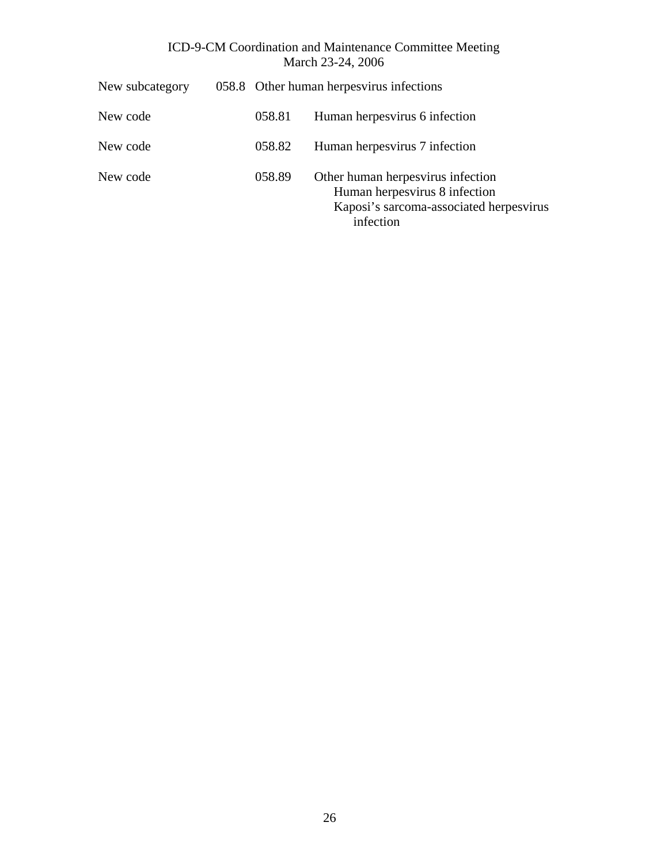| New subcategory |        | 058.8 Other human herpesvirus infections                                                                                   |
|-----------------|--------|----------------------------------------------------------------------------------------------------------------------------|
| New code        | 058.81 | Human herpesvirus 6 infection                                                                                              |
| New code        | 058.82 | Human herpesvirus 7 infection                                                                                              |
| New code        | 058.89 | Other human herpesvirus infection<br>Human herpesvirus 8 infection<br>Kaposi's sarcoma-associated herpesvirus<br>infection |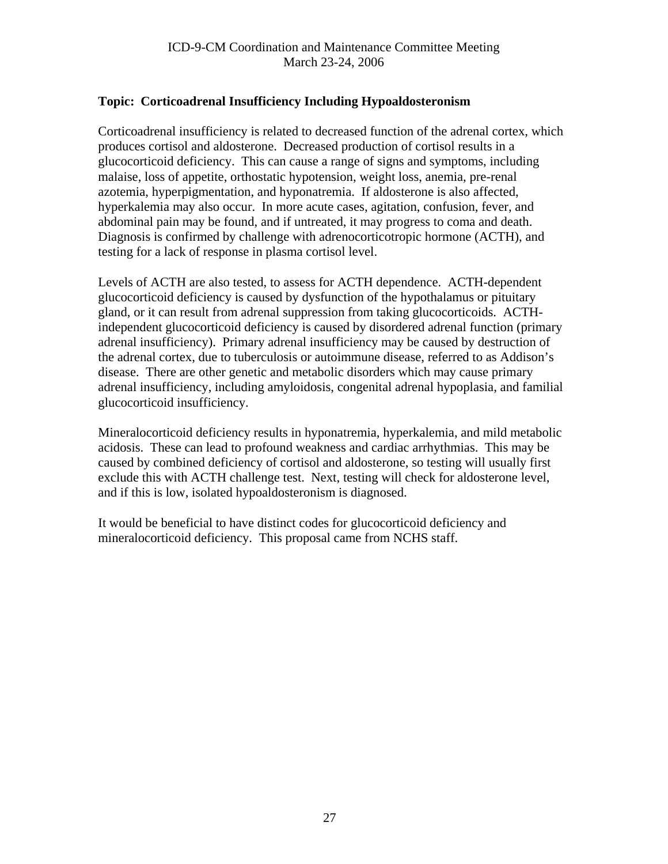# <span id="page-26-0"></span>**Topic: Corticoadrenal Insufficiency Including Hypoaldosteronism**

Corticoadrenal insufficiency is related to decreased function of the adrenal cortex, which produces cortisol and aldosterone. Decreased production of cortisol results in a glucocorticoid deficiency. This can cause a range of signs and symptoms, including malaise, loss of appetite, orthostatic hypotension, weight loss, anemia, pre-renal azotemia, hyperpigmentation, and hyponatremia. If aldosterone is also affected, hyperkalemia may also occur. In more acute cases, agitation, confusion, fever, and abdominal pain may be found, and if untreated, it may progress to coma and death. Diagnosis is confirmed by challenge with adrenocorticotropic hormone (ACTH), and testing for a lack of response in plasma cortisol level.

Levels of ACTH are also tested, to assess for ACTH dependence. ACTH-dependent glucocorticoid deficiency is caused by dysfunction of the hypothalamus or pituitary gland, or it can result from adrenal suppression from taking glucocorticoids. ACTHindependent glucocorticoid deficiency is caused by disordered adrenal function (primary adrenal insufficiency). Primary adrenal insufficiency may be caused by destruction of the adrenal cortex, due to tuberculosis or autoimmune disease, referred to as Addison's disease. There are other genetic and metabolic disorders which may cause primary adrenal insufficiency, including amyloidosis, congenital adrenal hypoplasia, and familial glucocorticoid insufficiency.

Mineralocorticoid deficiency results in hyponatremia, hyperkalemia, and mild metabolic acidosis. These can lead to profound weakness and cardiac arrhythmias. This may be caused by combined deficiency of cortisol and aldosterone, so testing will usually first exclude this with ACTH challenge test. Next, testing will check for aldosterone level, and if this is low, isolated hypoaldosteronism is diagnosed.

It would be beneficial to have distinct codes for glucocorticoid deficiency and mineralocorticoid deficiency. This proposal came from NCHS staff.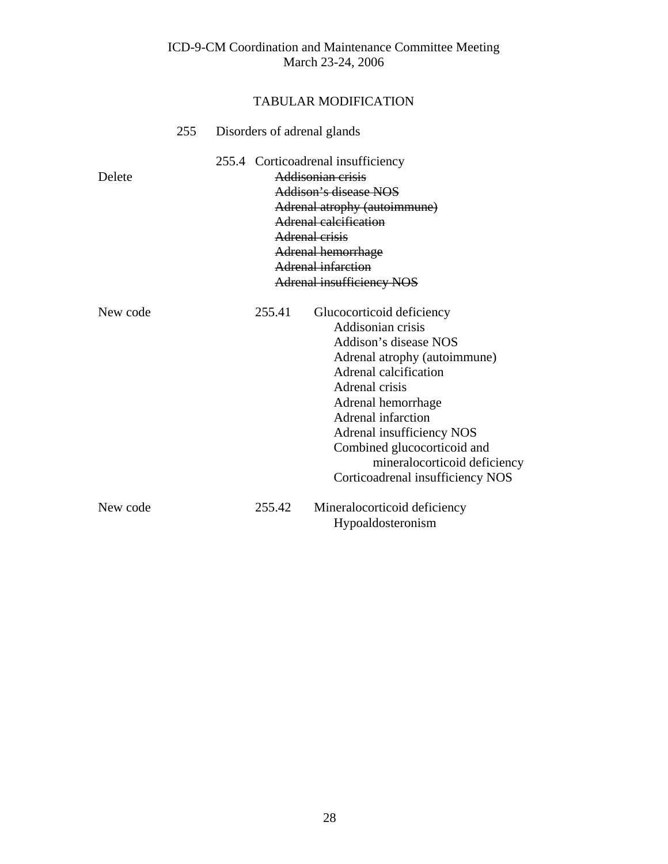|          | 255 | Disorders of adrenal glands |        |                                                                                                                                                                                                                                                                                                                                       |  |  |
|----------|-----|-----------------------------|--------|---------------------------------------------------------------------------------------------------------------------------------------------------------------------------------------------------------------------------------------------------------------------------------------------------------------------------------------|--|--|
| Delete   |     |                             |        | 255.4 Corticoadrenal insufficiency<br>Addisonian crisis<br>Addison's disease NOS<br>Adrenal atrophy (autoimmune)<br>Adrenal calcification<br>Adrenal crisis<br>Adrenal hemorrhage<br>Adrenal infarction<br><b>Adrenal insufficiency NOS</b>                                                                                           |  |  |
| New code |     |                             | 255.41 | Glucocorticoid deficiency<br>Addisonian crisis<br>Addison's disease NOS<br>Adrenal atrophy (autoimmune)<br>Adrenal calcification<br>Adrenal crisis<br>Adrenal hemorrhage<br><b>Adrenal infarction</b><br>Adrenal insufficiency NOS<br>Combined glucocorticoid and<br>mineralocorticoid deficiency<br>Corticoadrenal insufficiency NOS |  |  |
| New code |     |                             | 255.42 | Mineralocorticoid deficiency<br>Hypoaldosteronism                                                                                                                                                                                                                                                                                     |  |  |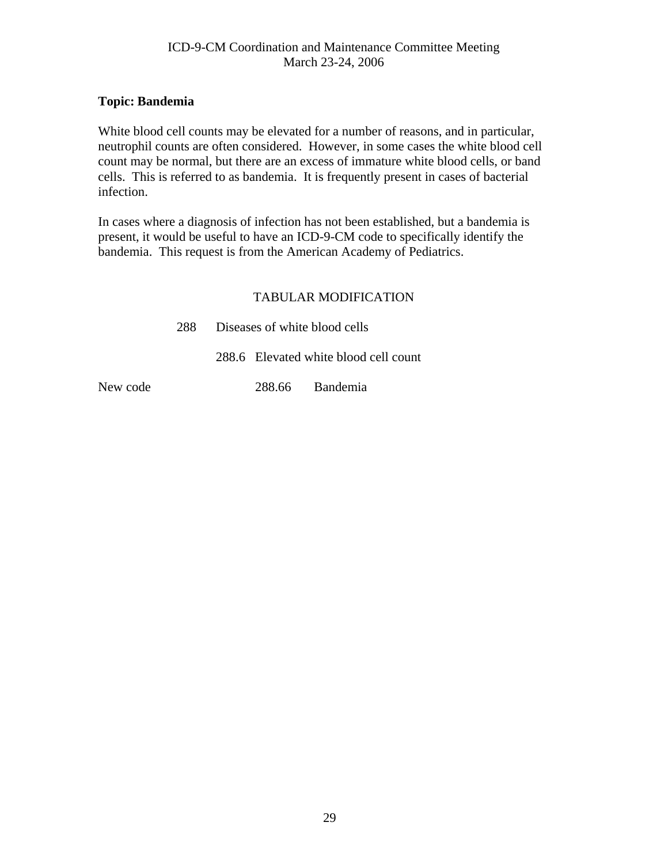#### <span id="page-28-0"></span>**Topic: Bandemia**

White blood cell counts may be elevated for a number of reasons, and in particular, neutrophil counts are often considered. However, in some cases the white blood cell count may be normal, but there are an excess of immature white blood cells, or band cells. This is referred to as bandemia. It is frequently present in cases of bacterial infection.

In cases where a diagnosis of infection has not been established, but a bandemia is present, it would be useful to have an ICD-9-CM code to specifically identify the bandemia. This request is from the American Academy of Pediatrics.

#### TABULAR MODIFICATION

| 288 Diseases of white blood cells |                                       |  |  |  |  |  |
|-----------------------------------|---------------------------------------|--|--|--|--|--|
|                                   | 288.6 Elevated white blood cell count |  |  |  |  |  |

New code 288.66 Bandemia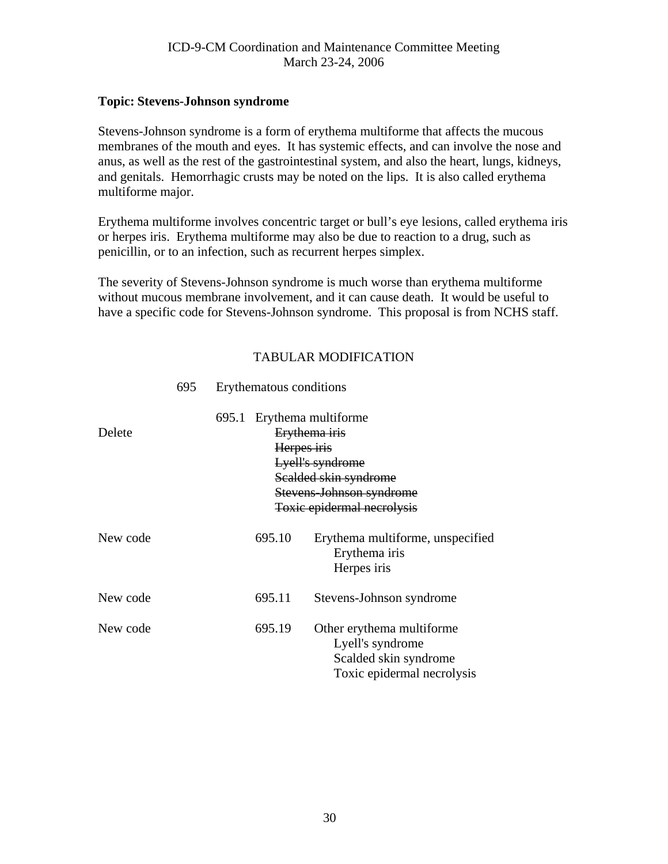#### <span id="page-29-0"></span>**Topic: Stevens-Johnson syndrome**

Stevens-Johnson syndrome is a form of erythema multiforme that affects the mucous membranes of the mouth and eyes. It has systemic effects, and can involve the nose and anus, as well as the rest of the gastrointestinal system, and also the heart, lungs, kidneys, and genitals. Hemorrhagic crusts may be noted on the lips. It is also called erythema multiforme major.

Erythema multiforme involves concentric target or bull's eye lesions, called erythema iris or herpes iris. Erythema multiforme may also be due to reaction to a drug, such as penicillin, or to an infection, such as recurrent herpes simplex.

The severity of Stevens-Johnson syndrome is much worse than erythema multiforme without mucous membrane involvement, and it can cause death. It would be useful to have a specific code for Stevens-Johnson syndrome. This proposal is from NCHS staff.

## TABULAR MODIFICATION

| Delete   | 695.1 | Herpes iris | Erythema multiforme<br>Erythema iris<br>Lyell's syndrome<br>Scalded skin syndrome<br>Stevens-Johnson syndrome<br>Toxic epidermal necrolysis |
|----------|-------|-------------|---------------------------------------------------------------------------------------------------------------------------------------------|
| New code |       | 695.10      | Erythema multiforme, unspecified<br>Erythema iris<br>Herpes iris                                                                            |
| New code |       | 695.11      | Stevens-Johnson syndrome                                                                                                                    |
| New code |       | 695.19      | Other erythema multiforme<br>Lyell's syndrome<br>Scalded skin syndrome<br>Toxic epidermal necrolysis                                        |

#### 695 Erythematous conditions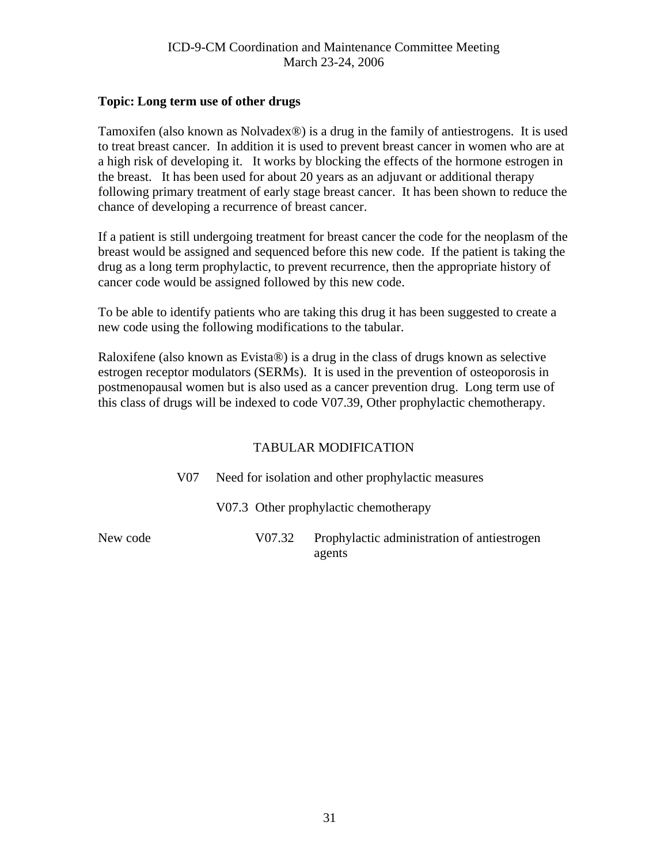#### <span id="page-30-0"></span>**Topic: Long term use of other drugs**

Tamoxifen (also known as Nolvadex®) is a drug in the family of antiestrogens. It is used to treat breast cancer. In addition it is used to prevent breast cancer in women who are at a high risk of developing it. It works by blocking the effects of the hormone estrogen in the breast. It has been used for about 20 years as an adjuvant or additional therapy following primary treatment of early stage breast cancer. It has been shown to reduce the chance of developing a recurrence of breast cancer.

If a patient is still undergoing treatment for breast cancer the code for the neoplasm of the breast would be assigned and sequenced before this new code. If the patient is taking the drug as a long term prophylactic, to prevent recurrence, then the appropriate history of cancer code would be assigned followed by this new code.

To be able to identify patients who are taking this drug it has been suggested to create a new code using the following modifications to the tabular.

Raloxifene (also known as Evista®) is a drug in the class of drugs known as selective estrogen receptor modulators (SERMs). It is used in the prevention of osteoporosis in postmenopausal women but is also used as a cancer prevention drug. Long term use of this class of drugs will be indexed to code V07.39, Other prophylactic chemotherapy.

## TABULAR MODIFICATION

V07 Need for isolation and other prophylactic measures

V07.3 Other prophylactic chemotherapy

New code V07.32Prophylactic administration of antiestrogen agents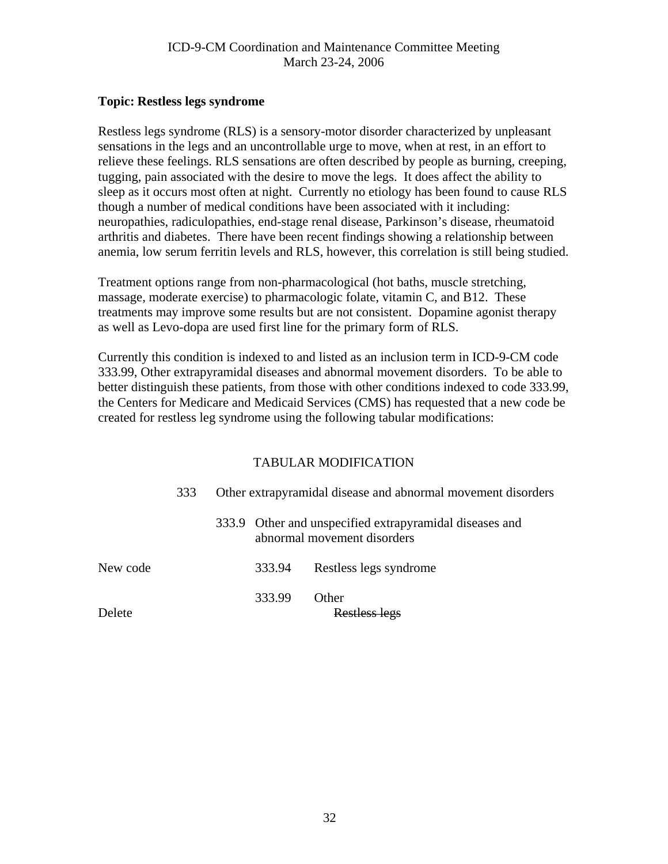#### <span id="page-31-0"></span>**Topic: Restless legs syndrome**

Restless legs syndrome (RLS) is a sensory-motor disorder characterized by unpleasant sensations in the legs and an uncontrollable urge to move, when at rest, in an effort to relieve these feelings. RLS sensations are often described by people as burning, creeping, tugging, pain associated with the desire to move the legs. It does affect the ability to sleep as it occurs most often at night. Currently no etiology has been found to cause RLS though a number of medical conditions have been associated with it including: neuropathies, radiculopathies, end-stage renal disease, Parkinson's disease, rheumatoid arthritis and diabetes. There have been recent findings showing a relationship between anemia, low serum ferritin levels and RLS, however, this correlation is still being studied.

Treatment options range from non-pharmacological (hot baths, muscle stretching, massage, moderate exercise) to pharmacologic folate, vitamin C, and B12. These treatments may improve some results but are not consistent. Dopamine agonist therapy as well as Levo-dopa are used first line for the primary form of RLS.

Currently this condition is indexed to and listed as an inclusion term in ICD-9-CM code 333.99, Other extrapyramidal diseases and abnormal movement disorders. To be able to better distinguish these patients, from those with other conditions indexed to code 333.99, the Centers for Medicare and Medicaid Services (CMS) has requested that a new code be created for restless leg syndrome using the following tabular modifications:

|          | 333 | Other extrapyramidal disease and abnormal movement disorders |        |                                                                                        |
|----------|-----|--------------------------------------------------------------|--------|----------------------------------------------------------------------------------------|
|          |     |                                                              |        | 333.9 Other and unspecified extrapyramidal diseases and<br>abnormal movement disorders |
| New code |     |                                                              | 333.94 | Restless legs syndrome                                                                 |
| Delete   |     |                                                              | 333.99 | <b>Other</b><br>Restless legs                                                          |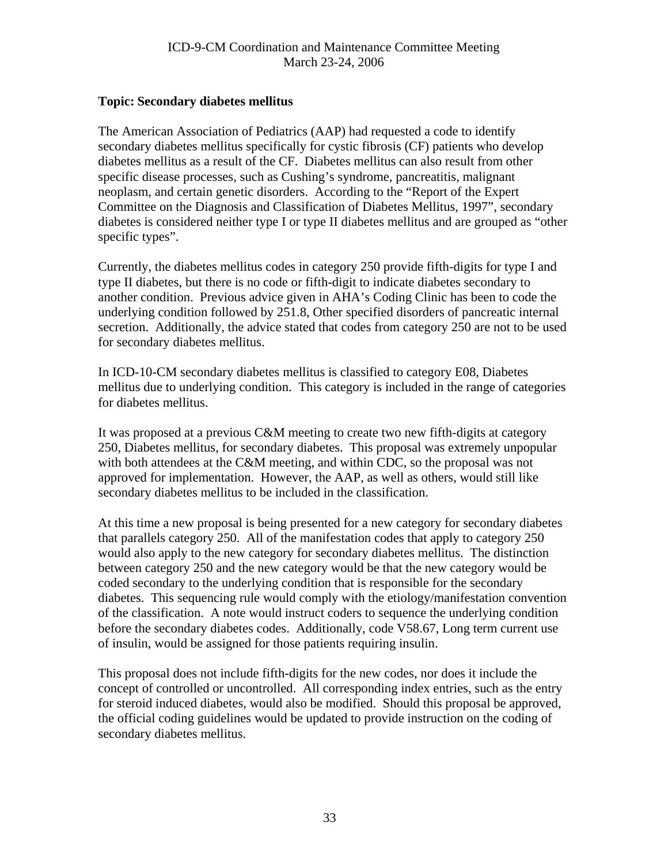## <span id="page-32-0"></span>**Topic: Secondary diabetes mellitus**

The American Association of Pediatrics (AAP) had requested a code to identify secondary diabetes mellitus specifically for cystic fibrosis (CF) patients who develop diabetes mellitus as a result of the CF. Diabetes mellitus can also result from other specific disease processes, such as Cushing's syndrome, pancreatitis, malignant neoplasm, and certain genetic disorders. According to the "Report of the Expert Committee on the Diagnosis and Classification of Diabetes Mellitus, 1997", secondary diabetes is considered neither type I or type II diabetes mellitus and are grouped as "other specific types".

Currently, the diabetes mellitus codes in category 250 provide fifth-digits for type I and type II diabetes, but there is no code or fifth-digit to indicate diabetes secondary to another condition. Previous advice given in AHA's Coding Clinic has been to code the underlying condition followed by 251.8, Other specified disorders of pancreatic internal secretion. Additionally, the advice stated that codes from category 250 are not to be used for secondary diabetes mellitus.

In ICD-10-CM secondary diabetes mellitus is classified to category E08, Diabetes mellitus due to underlying condition. This category is included in the range of categories for diabetes mellitus.

It was proposed at a previous C&M meeting to create two new fifth-digits at category 250, Diabetes mellitus, for secondary diabetes. This proposal was extremely unpopular with both attendees at the C&M meeting, and within CDC, so the proposal was not approved for implementation. However, the AAP, as well as others, would still like secondary diabetes mellitus to be included in the classification.

At this time a new proposal is being presented for a new category for secondary diabetes that parallels category 250. All of the manifestation codes that apply to category 250 would also apply to the new category for secondary diabetes mellitus. The distinction between category 250 and the new category would be that the new category would be coded secondary to the underlying condition that is responsible for the secondary diabetes. This sequencing rule would comply with the etiology/manifestation convention of the classification. A note would instruct coders to sequence the underlying condition before the secondary diabetes codes. Additionally, code V58.67, Long term current use of insulin, would be assigned for those patients requiring insulin.

This proposal does not include fifth-digits for the new codes, nor does it include the concept of controlled or uncontrolled. All corresponding index entries, such as the entry for steroid induced diabetes, would also be modified. Should this proposal be approved, the official coding guidelines would be updated to provide instruction on the coding of secondary diabetes mellitus.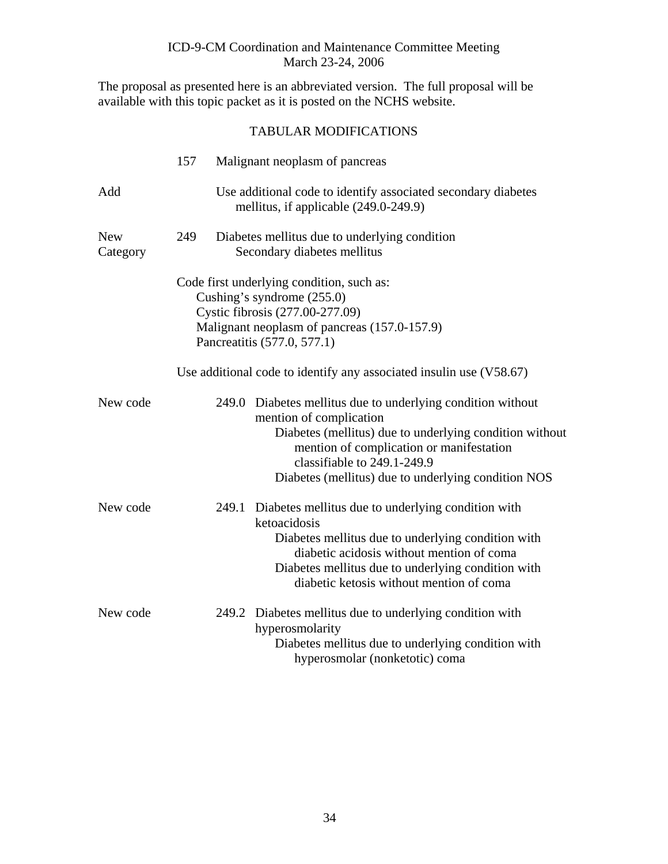The proposal as presented here is an abbreviated version. The full proposal will be available with this topic packet as it is posted on the NCHS website.

| <b>TABULAR MODIFICATIONS</b> |
|------------------------------|
|------------------------------|

|                        | 157 |       | Malignant neoplasm of pancreas                                                                                                                                                                                                                                                      |
|------------------------|-----|-------|-------------------------------------------------------------------------------------------------------------------------------------------------------------------------------------------------------------------------------------------------------------------------------------|
| Add                    |     |       | Use additional code to identify associated secondary diabetes<br>mellitus, if applicable (249.0-249.9)                                                                                                                                                                              |
| <b>New</b><br>Category | 249 |       | Diabetes mellitus due to underlying condition<br>Secondary diabetes mellitus                                                                                                                                                                                                        |
|                        |     |       | Code first underlying condition, such as:<br>Cushing's syndrome (255.0)<br>Cystic fibrosis (277.00-277.09)<br>Malignant neoplasm of pancreas (157.0-157.9)<br>Pancreatitis (577.0, 577.1)                                                                                           |
|                        |     |       | Use additional code to identify any associated insulin use (V58.67)                                                                                                                                                                                                                 |
| New code               |     |       | 249.0 Diabetes mellitus due to underlying condition without<br>mention of complication<br>Diabetes (mellitus) due to underlying condition without<br>mention of complication or manifestation<br>classifiable to 249.1-249.9<br>Diabetes (mellitus) due to underlying condition NOS |
| New code               |     | 249.1 | Diabetes mellitus due to underlying condition with<br>ketoacidosis<br>Diabetes mellitus due to underlying condition with<br>diabetic acidosis without mention of coma<br>Diabetes mellitus due to underlying condition with<br>diabetic ketosis without mention of coma             |
| New code               |     |       | 249.2 Diabetes mellitus due to underlying condition with<br>hyperosmolarity<br>Diabetes mellitus due to underlying condition with<br>hyperosmolar (nonketotic) coma                                                                                                                 |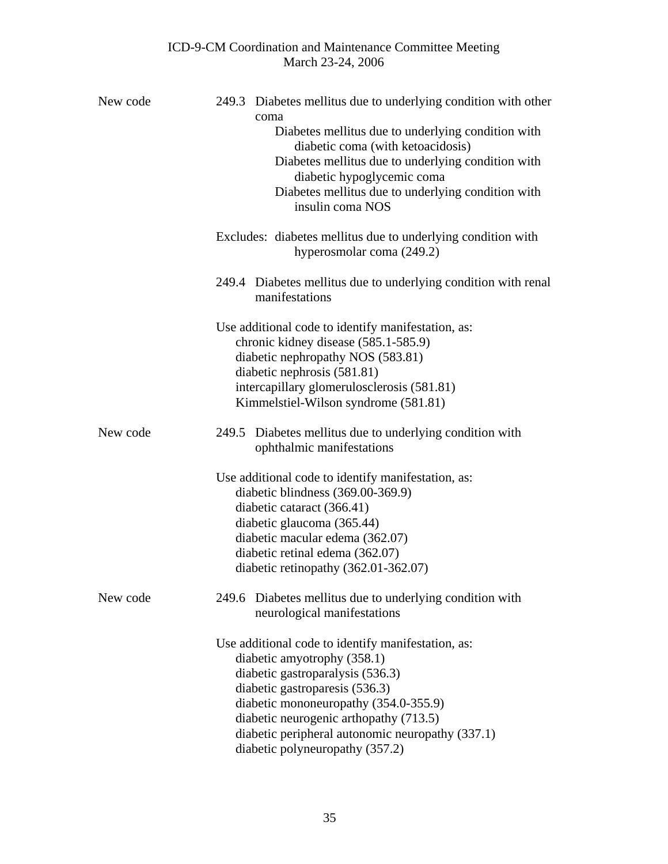| New code | 249.3 Diabetes mellitus due to underlying condition with other<br>coma<br>Diabetes mellitus due to underlying condition with<br>diabetic coma (with ketoacidosis)<br>Diabetes mellitus due to underlying condition with<br>diabetic hypoglycemic coma<br>Diabetes mellitus due to underlying condition with<br>insulin coma NOS   |  |  |  |  |  |
|----------|-----------------------------------------------------------------------------------------------------------------------------------------------------------------------------------------------------------------------------------------------------------------------------------------------------------------------------------|--|--|--|--|--|
|          | Excludes: diabetes mellitus due to underlying condition with<br>hyperosmolar coma (249.2)                                                                                                                                                                                                                                         |  |  |  |  |  |
|          | 249.4 Diabetes mellitus due to underlying condition with renal<br>manifestations                                                                                                                                                                                                                                                  |  |  |  |  |  |
|          | Use additional code to identify manifestation, as:<br>chronic kidney disease (585.1-585.9)<br>diabetic nephropathy NOS (583.81)<br>diabetic nephrosis (581.81)<br>intercapillary glomerulosclerosis (581.81)<br>Kimmelstiel-Wilson syndrome (581.81)                                                                              |  |  |  |  |  |
| New code | Diabetes mellitus due to underlying condition with<br>249.5<br>ophthalmic manifestations                                                                                                                                                                                                                                          |  |  |  |  |  |
|          | Use additional code to identify manifestation, as:<br>diabetic blindness (369.00-369.9)<br>diabetic cataract (366.41)<br>diabetic glaucoma (365.44)<br>diabetic macular edema (362.07)<br>diabetic retinal edema (362.07)<br>diabetic retinopathy (362.01-362.07)                                                                 |  |  |  |  |  |
| New code | 249.6 Diabetes mellitus due to underlying condition with<br>neurological manifestations                                                                                                                                                                                                                                           |  |  |  |  |  |
|          | Use additional code to identify manifestation, as:<br>diabetic amyotrophy (358.1)<br>diabetic gastroparalysis (536.3)<br>diabetic gastroparesis (536.3)<br>diabetic mononeuropathy (354.0-355.9)<br>diabetic neurogenic arthopathy (713.5)<br>diabetic peripheral autonomic neuropathy (337.1)<br>diabetic polyneuropathy (357.2) |  |  |  |  |  |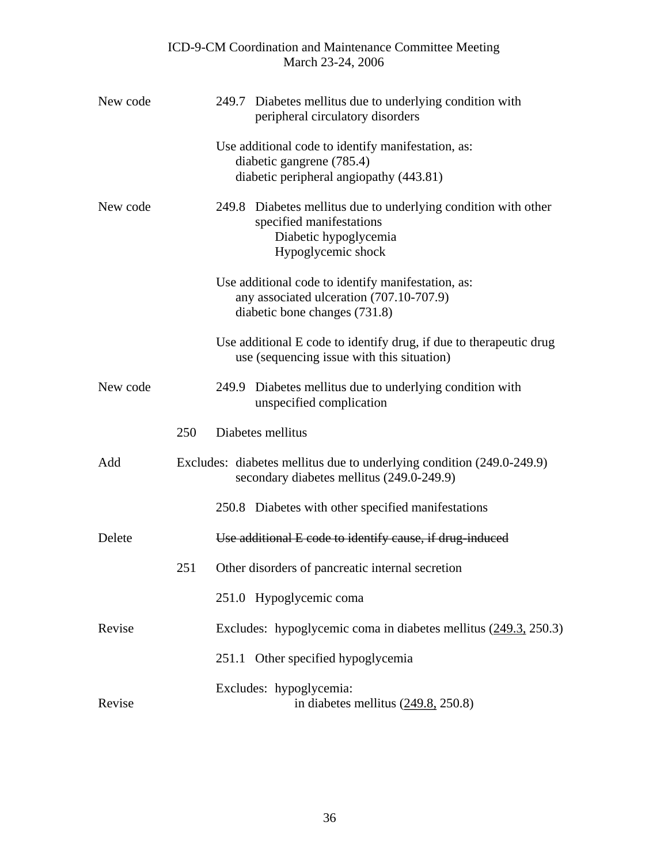| New code |     |       | 249.7 Diabetes mellitus due to underlying condition with<br>peripheral circulatory disorders                                              |
|----------|-----|-------|-------------------------------------------------------------------------------------------------------------------------------------------|
|          |     |       | Use additional code to identify manifestation, as:<br>diabetic gangrene (785.4)<br>diabetic peripheral angiopathy (443.81)                |
| New code |     |       | 249.8 Diabetes mellitus due to underlying condition with other<br>specified manifestations<br>Diabetic hypoglycemia<br>Hypoglycemic shock |
|          |     |       | Use additional code to identify manifestation, as:<br>any associated ulceration (707.10-707.9)<br>diabetic bone changes (731.8)           |
|          |     |       | Use additional E code to identify drug, if due to therapeutic drug<br>use (sequencing issue with this situation)                          |
| New code |     |       | 249.9 Diabetes mellitus due to underlying condition with<br>unspecified complication                                                      |
|          | 250 |       | Diabetes mellitus                                                                                                                         |
| Add      |     |       | Excludes: diabetes mellitus due to underlying condition (249.0-249.9)<br>secondary diabetes mellitus (249.0-249.9)                        |
|          |     |       | 250.8 Diabetes with other specified manifestations                                                                                        |
| Delete   |     |       | Use additional E code to identify cause, if drug-induced                                                                                  |
|          | 251 |       | Other disorders of pancreatic internal secretion                                                                                          |
|          |     |       | 251.0 Hypoglycemic coma                                                                                                                   |
| Revise   |     |       | Excludes: hypoglycemic coma in diabetes mellitus $(249.3, 250.3)$                                                                         |
|          |     | 251.1 | Other specified hypoglycemia                                                                                                              |
| Revise   |     |       | Excludes: hypoglycemia:<br>in diabetes mellitus $(249.8, 250.8)$                                                                          |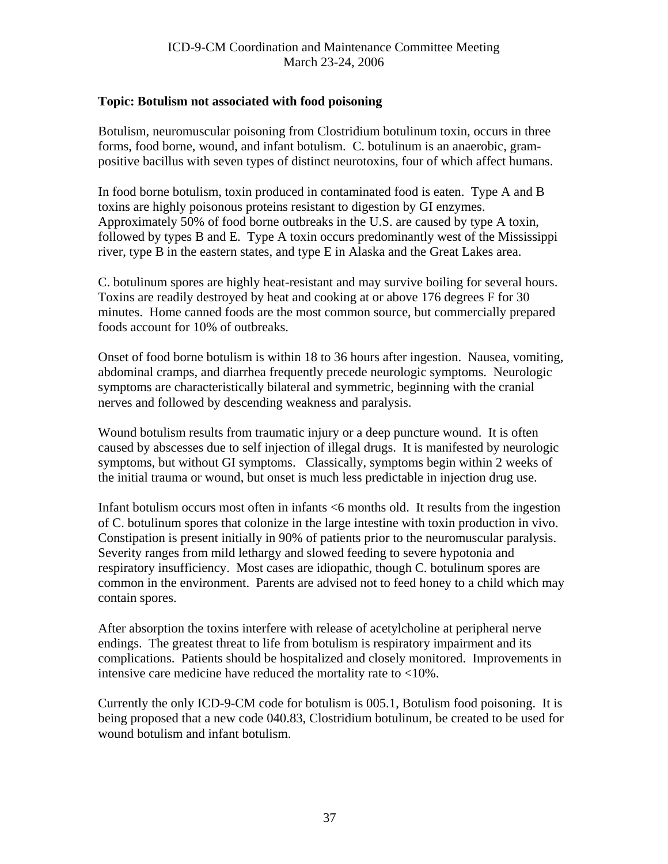## <span id="page-36-0"></span>**Topic: Botulism not associated with food poisoning**

Botulism, neuromuscular poisoning from Clostridium botulinum toxin, occurs in three forms, food borne, wound, and infant botulism. C. botulinum is an anaerobic, grampositive bacillus with seven types of distinct neurotoxins, four of which affect humans.

In food borne botulism, toxin produced in contaminated food is eaten. Type A and B toxins are highly poisonous proteins resistant to digestion by GI enzymes. Approximately 50% of food borne outbreaks in the U.S. are caused by type A toxin, followed by types B and E. Type A toxin occurs predominantly west of the Mississippi river, type B in the eastern states, and type E in Alaska and the Great Lakes area.

C. botulinum spores are highly heat-resistant and may survive boiling for several hours. Toxins are readily destroyed by heat and cooking at or above 176 degrees F for 30 minutes. Home canned foods are the most common source, but commercially prepared foods account for 10% of outbreaks.

Onset of food borne botulism is within 18 to 36 hours after ingestion. Nausea, vomiting, abdominal cramps, and diarrhea frequently precede neurologic symptoms. Neurologic symptoms are characteristically bilateral and symmetric, beginning with the cranial nerves and followed by descending weakness and paralysis.

Wound botulism results from traumatic injury or a deep puncture wound. It is often caused by abscesses due to self injection of illegal drugs. It is manifested by neurologic symptoms, but without GI symptoms. Classically, symptoms begin within 2 weeks of the initial trauma or wound, but onset is much less predictable in injection drug use.

Infant botulism occurs most often in infants <6 months old. It results from the ingestion of C. botulinum spores that colonize in the large intestine with toxin production in vivo. Constipation is present initially in 90% of patients prior to the neuromuscular paralysis. Severity ranges from mild lethargy and slowed feeding to severe hypotonia and respiratory insufficiency. Most cases are idiopathic, though C. botulinum spores are common in the environment. Parents are advised not to feed honey to a child which may contain spores.

After absorption the toxins interfere with release of acetylcholine at peripheral nerve endings. The greatest threat to life from botulism is respiratory impairment and its complications. Patients should be hospitalized and closely monitored. Improvements in intensive care medicine have reduced the mortality rate to <10%.

Currently the only ICD-9-CM code for botulism is 005.1, Botulism food poisoning. It is being proposed that a new code 040.83, Clostridium botulinum, be created to be used for wound botulism and infant botulism.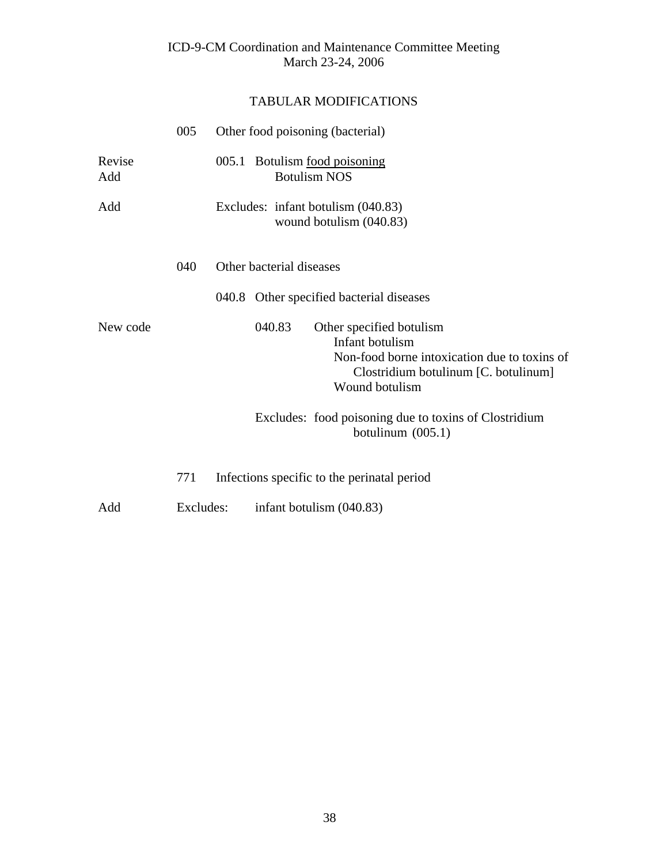|               | 005       | Other food poisoning (bacterial)                                                                                                                                |
|---------------|-----------|-----------------------------------------------------------------------------------------------------------------------------------------------------------------|
| Revise<br>Add |           | 005.1 Botulism <u>food poisoning</u><br><b>Botulism NOS</b>                                                                                                     |
| Add           |           | Excludes: infant botulism (040.83)<br>wound botulism (040.83)                                                                                                   |
|               | 040       | Other bacterial diseases                                                                                                                                        |
|               |           | 040.8 Other specified bacterial diseases                                                                                                                        |
| New code      |           | 040.83<br>Other specified botulism<br>Infant botulism<br>Non-food borne intoxication due to toxins of<br>Clostridium botulinum [C. botulinum]<br>Wound botulism |
|               |           | Excludes: food poisoning due to toxins of Clostridium<br>botulinum $(005.1)$                                                                                    |
|               | 771       | Infections specific to the perinatal period                                                                                                                     |
| Add           | Excludes: | infant botulism (040.83)                                                                                                                                        |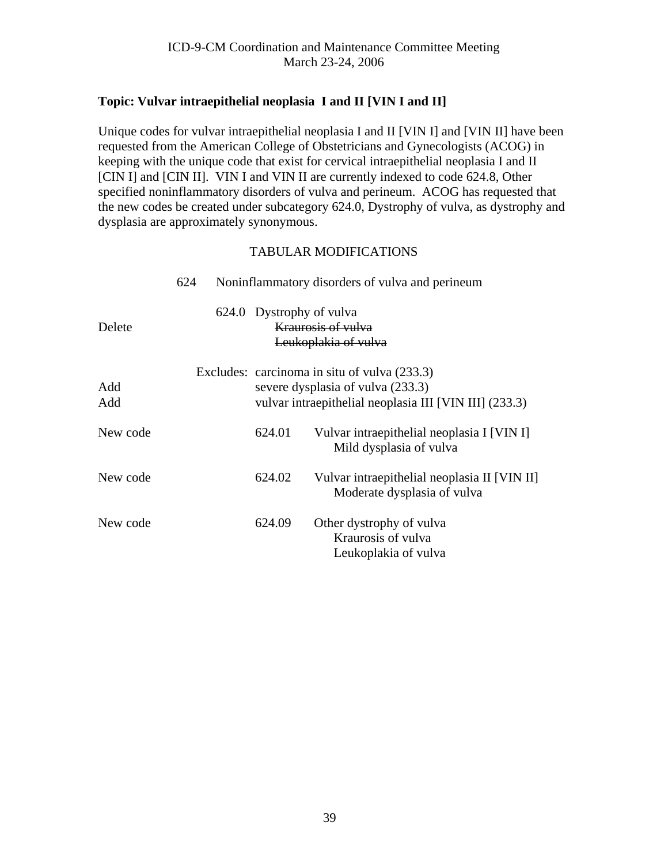# <span id="page-38-0"></span>**Topic: Vulvar intraepithelial neoplasia I and II [VIN I and II]**

Unique codes for vulvar intraepithelial neoplasia I and II [VIN I] and [VIN II] have been requested from the American College of Obstetricians and Gynecologists (ACOG) in keeping with the unique code that exist for cervical intraepithelial neoplasia I and II [CIN I] and [CIN II]. VIN I and VIN II are currently indexed to code 624.8, Other specified noninflammatory disorders of vulva and perineum. ACOG has requested that the new codes be created under subcategory 624.0, Dystrophy of vulva, as dystrophy and dysplasia are approximately synonymous.

|            | 624 |        | Noninflammatory disorders of vulva and perineum                                                                                             |
|------------|-----|--------|---------------------------------------------------------------------------------------------------------------------------------------------|
| Delete     |     |        | 624.0 Dystrophy of vulva<br><b>Kraurosis of vulva</b><br>Leukoplakia of vulva                                                               |
| Add<br>Add |     |        | Excludes: carcinoma in situ of vulva (233.3)<br>severe dysplasia of vulva (233.3)<br>vulvar intraepithelial neoplasia III [VIN III] (233.3) |
| New code   |     | 624.01 | Vulvar intraepithelial neoplasia I [VIN I]<br>Mild dysplasia of vulva                                                                       |
| New code   |     | 624.02 | Vulvar intraepithelial neoplasia II [VIN II]<br>Moderate dysplasia of vulva                                                                 |
| New code   |     | 624.09 | Other dystrophy of vulva<br>Kraurosis of vulva<br>Leukoplakia of vulva                                                                      |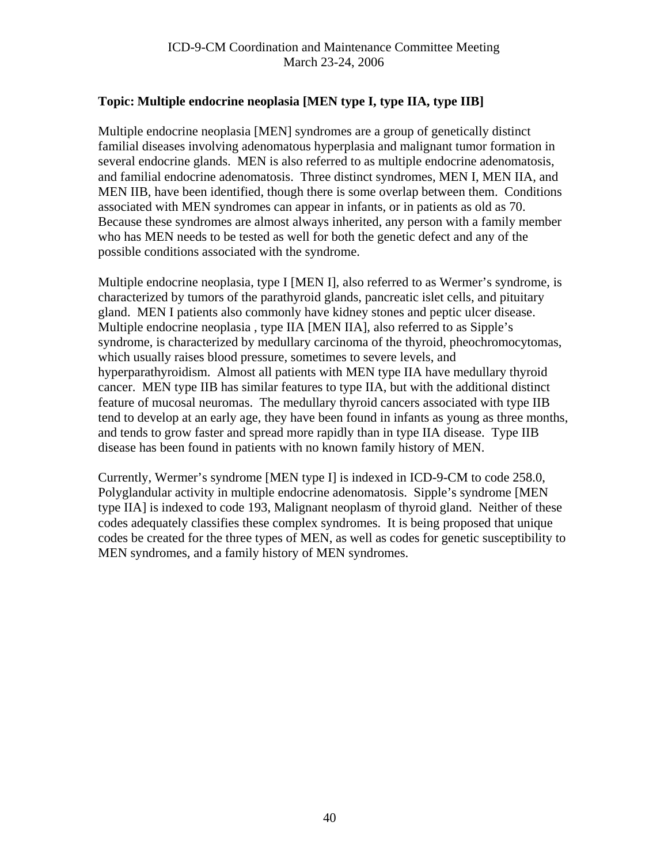# <span id="page-39-0"></span>**Topic: Multiple endocrine neoplasia [MEN type I, type IIA, type IIB]**

Multiple endocrine neoplasia [MEN] syndromes are a group of genetically distinct familial diseases involving adenomatous hyperplasia and malignant tumor formation in several endocrine glands. MEN is also referred to as multiple endocrine adenomatosis, and familial endocrine adenomatosis. Three distinct syndromes, MEN I, MEN IIA, and MEN IIB, have been identified, though there is some overlap between them. Conditions associated with MEN syndromes can appear in infants, or in patients as old as 70. Because these syndromes are almost always inherited, any person with a family member who has MEN needs to be tested as well for both the genetic defect and any of the possible conditions associated with the syndrome.

Multiple endocrine neoplasia, type I [MEN I], also referred to as Wermer's syndrome, is characterized by tumors of the parathyroid glands, pancreatic islet cells, and pituitary gland. MEN I patients also commonly have kidney stones and peptic ulcer disease. Multiple endocrine neoplasia , type IIA [MEN IIA], also referred to as Sipple's syndrome, is characterized by medullary carcinoma of the thyroid, pheochromocytomas, which usually raises blood pressure, sometimes to severe levels, and hyperparathyroidism. Almost all patients with MEN type IIA have medullary thyroid cancer. MEN type IIB has similar features to type IIA, but with the additional distinct feature of mucosal neuromas. The medullary thyroid cancers associated with type IIB tend to develop at an early age, they have been found in infants as young as three months, and tends to grow faster and spread more rapidly than in type IIA disease. Type IIB disease has been found in patients with no known family history of MEN.

Currently, Wermer's syndrome [MEN type I] is indexed in ICD-9-CM to code 258.0, Polyglandular activity in multiple endocrine adenomatosis. Sipple's syndrome [MEN type IIA] is indexed to code 193, Malignant neoplasm of thyroid gland. Neither of these codes adequately classifies these complex syndromes. It is being proposed that unique codes be created for the three types of MEN, as well as codes for genetic susceptibility to MEN syndromes, and a family history of MEN syndromes.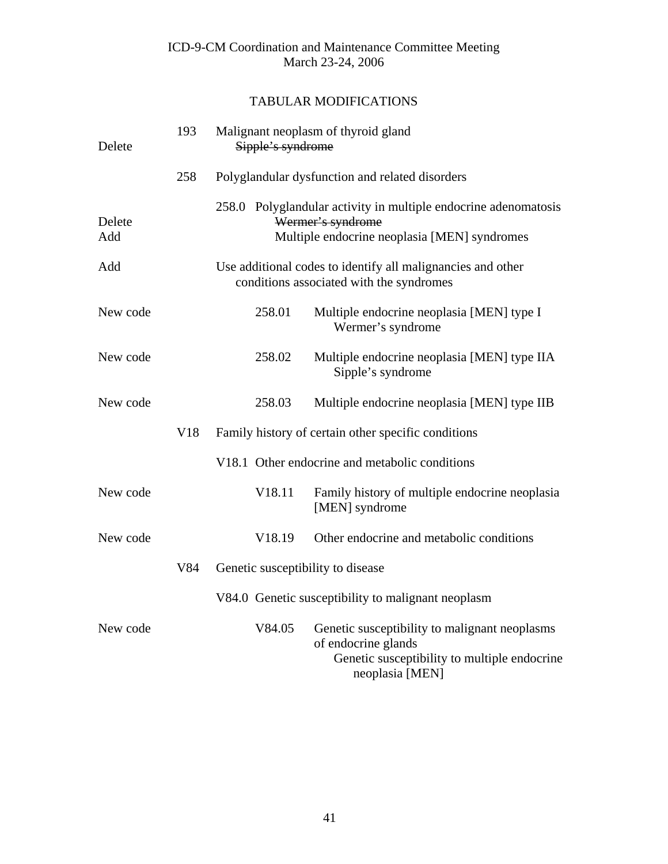| Delete        | 193 | Sipple's syndrome                 | Malignant neoplasm of thyroid gland                                                                                                     |
|---------------|-----|-----------------------------------|-----------------------------------------------------------------------------------------------------------------------------------------|
|               | 258 |                                   | Polyglandular dysfunction and related disorders                                                                                         |
| Delete<br>Add |     |                                   | 258.0 Polyglandular activity in multiple endocrine adenomatosis<br>Wermer's syndrome<br>Multiple endocrine neoplasia [MEN] syndromes    |
| Add           |     |                                   | Use additional codes to identify all malignancies and other<br>conditions associated with the syndromes                                 |
| New code      |     | 258.01                            | Multiple endocrine neoplasia [MEN] type I<br>Wermer's syndrome                                                                          |
| New code      |     | 258.02                            | Multiple endocrine neoplasia [MEN] type IIA<br>Sipple's syndrome                                                                        |
| New code      |     | 258.03                            | Multiple endocrine neoplasia [MEN] type IIB                                                                                             |
|               | V18 |                                   | Family history of certain other specific conditions                                                                                     |
|               |     |                                   | V18.1 Other endocrine and metabolic conditions                                                                                          |
| New code      |     | V18.11                            | Family history of multiple endocrine neoplasia<br>[MEN] syndrome                                                                        |
| New code      |     | V18.19                            | Other endocrine and metabolic conditions                                                                                                |
|               | V84 | Genetic susceptibility to disease |                                                                                                                                         |
|               |     |                                   | V84.0 Genetic susceptibility to malignant neoplasm                                                                                      |
| New code      |     | V84.05                            | Genetic susceptibility to malignant neoplasms<br>of endocrine glands<br>Genetic susceptibility to multiple endocrine<br>neoplasia [MEN] |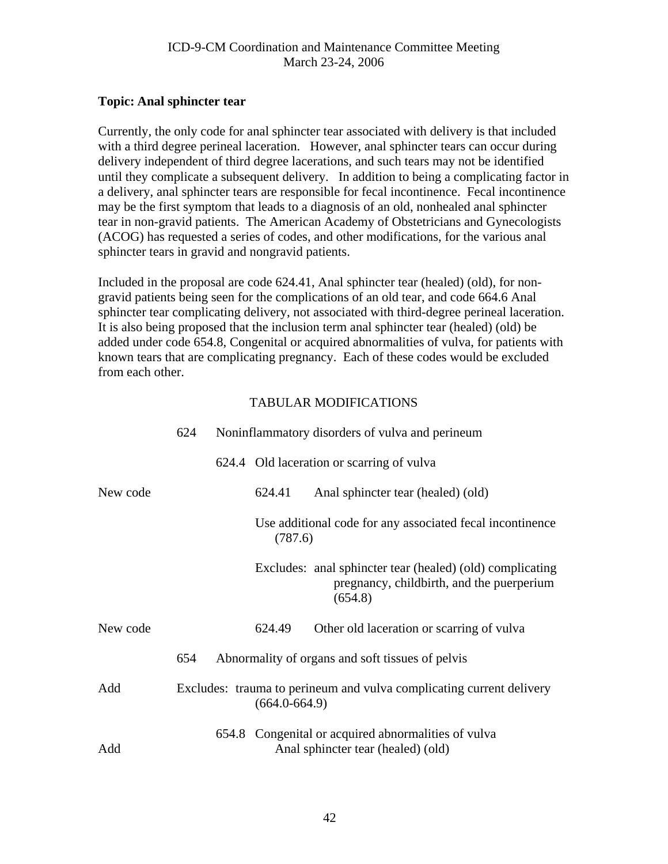## <span id="page-41-0"></span>**Topic: Anal sphincter tear**

Currently, the only code for anal sphincter tear associated with delivery is that included with a third degree perineal laceration. However, anal sphincter tears can occur during delivery independent of third degree lacerations, and such tears may not be identified until they complicate a subsequent delivery. In addition to being a complicating factor in a delivery, anal sphincter tears are responsible for fecal incontinence. Fecal incontinence may be the first symptom that leads to a diagnosis of an old, nonhealed anal sphincter tear in non-gravid patients. The American Academy of Obstetricians and Gynecologists (ACOG) has requested a series of codes, and other modifications, for the various anal sphincter tears in gravid and nongravid patients.

Included in the proposal are code 624.41, Anal sphincter tear (healed) (old), for nongravid patients being seen for the complications of an old tear, and code 664.6 Anal sphincter tear complicating delivery, not associated with third-degree perineal laceration. It is also being proposed that the inclusion term anal sphincter tear (healed) (old) be added under code 654.8, Congenital or acquired abnormalities of vulva, for patients with known tears that are complicating pregnancy. Each of these codes would be excluded from each other.

|          | 624 |                   | Noninflammatory disorders of vulva and perineum                                                                   |
|----------|-----|-------------------|-------------------------------------------------------------------------------------------------------------------|
|          |     |                   | 624.4 Old laceration or scarring of vulva                                                                         |
| New code |     | 624.41            | Anal sphincter tear (healed) (old)                                                                                |
|          |     | (787.6)           | Use additional code for any associated fecal incontinence                                                         |
|          |     |                   | Excludes: anal sphincter tear (healed) (old) complicating<br>pregnancy, childbirth, and the puerperium<br>(654.8) |
| New code |     | 624.49            | Other old laceration or scarring of vulva                                                                         |
|          | 654 |                   | Abnormality of organs and soft tissues of pelvis                                                                  |
| Add      |     | $(664.0 - 664.9)$ | Excludes: trauma to perineum and vulva complicating current delivery                                              |
| Add      |     |                   | 654.8 Congenital or acquired abnormalities of vulva<br>Anal sphincter tear (healed) (old)                         |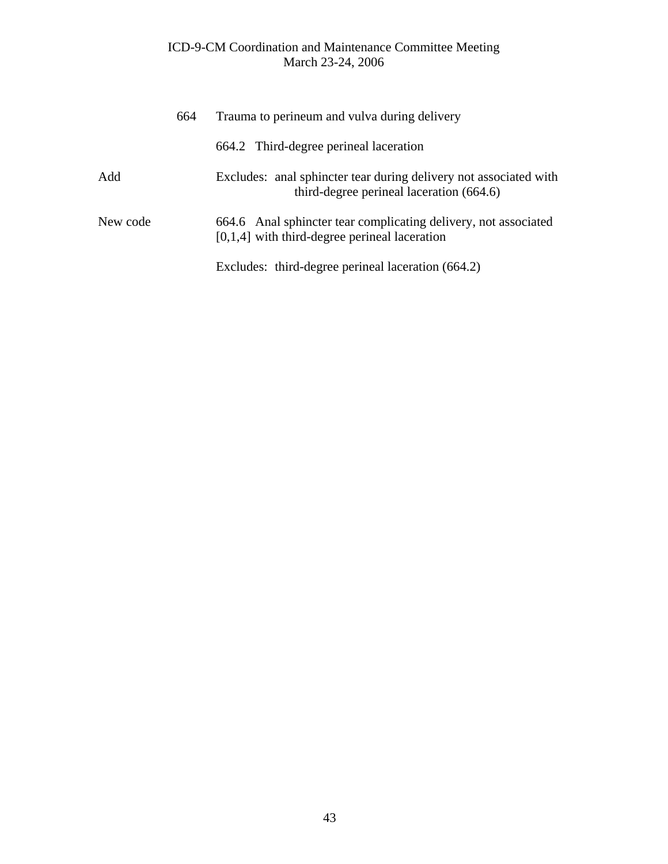|          | 664 | Trauma to perineum and vulva during delivery                                                                       |
|----------|-----|--------------------------------------------------------------------------------------------------------------------|
|          |     | 664.2 Third-degree perineal laceration                                                                             |
| Add      |     | Excludes: anal sphincter tear during delivery not associated with<br>third-degree perineal laceration (664.6)      |
| New code |     | 664.6 Anal sphincter tear complicating delivery, not associated<br>$[0,1,4]$ with third-degree perineal laceration |
|          |     | Excludes: third-degree perineal laceration (664.2)                                                                 |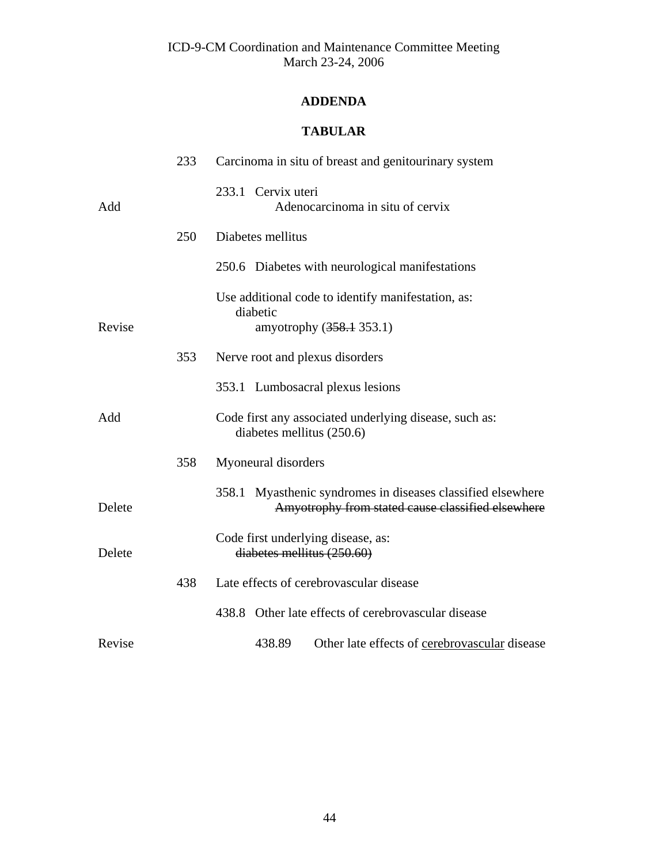# **ADDENDA**

# **TABULAR**

|        | 233 | Carcinoma in situ of breast and genitourinary system                                                             |
|--------|-----|------------------------------------------------------------------------------------------------------------------|
| Add    |     | 233.1 Cervix uteri<br>Adenocarcinoma in situ of cervix                                                           |
|        | 250 | Diabetes mellitus                                                                                                |
|        |     | 250.6 Diabetes with neurological manifestations                                                                  |
| Revise |     | Use additional code to identify manifestation, as:<br>diabetic<br>amyotrophy (358.1 353.1)                       |
|        | 353 | Nerve root and plexus disorders                                                                                  |
|        |     | 353.1 Lumbosacral plexus lesions                                                                                 |
| Add    |     | Code first any associated underlying disease, such as:<br>diabetes mellitus (250.6)                              |
|        | 358 | Myoneural disorders                                                                                              |
| Delete |     | 358.1 Myasthenic syndromes in diseases classified elsewhere<br>Amyotrophy from stated cause classified elsewhere |
| Delete |     | Code first underlying disease, as:<br>diabetes mellitus (250.60)                                                 |
|        | 438 | Late effects of cerebrovascular disease                                                                          |
|        |     | 438.8 Other late effects of cerebrovascular disease                                                              |
| Revise |     | 438.89<br>Other late effects of cerebrovascular disease                                                          |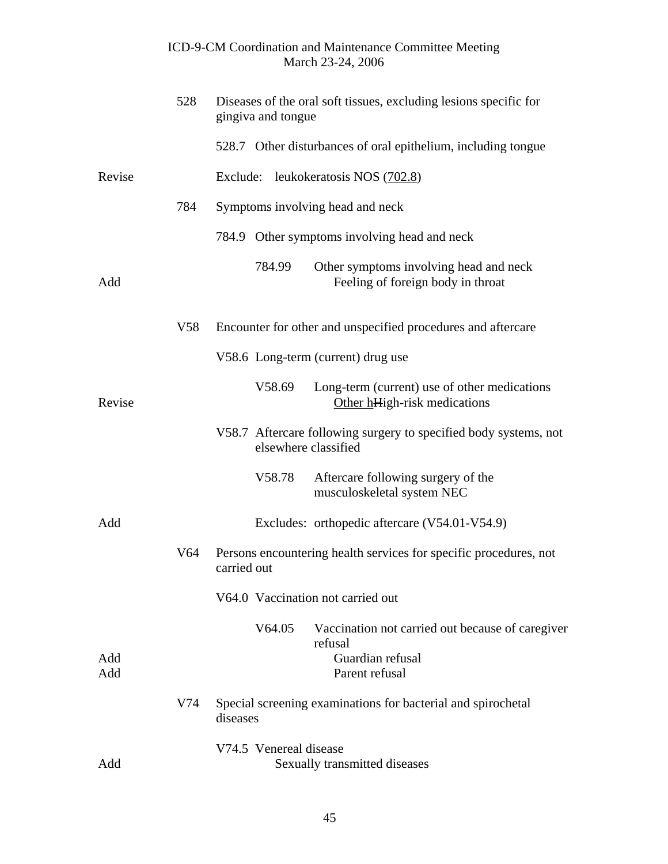# March 23-24, 2006 528 Diseases of the oral soft tissues, excluding lesions specific for gingiva and tongue 528.7 Other disturbances of oral epithelium, including tongue Revise Exclude: leukokeratosis NOS (702.8) 784 Symptoms involving head and neck 784.9 Other symptoms involving head and neck 784.99 Other symptoms involving head and neck Add Feeling of foreign body in throat V58 Encounter for other and unspecified procedures and aftercare V58.6 Long-term (current) drug use V58.69 Long-term (current) use of other medications Revise Other hHigh-risk medications V58.7 Aftercare following surgery to specified body systems, not elsewhere classified V58.78 Aftercare following surgery of the musculoskeletal system NEC Add Excludes: orthopedic aftercare (V54.01-V54.9) V64 Persons encountering health services for specific procedures, not carried out V64.0 Vaccination not carried out V64.05 Vaccination not carried out because of caregiver refusal Add Guardian refusal Add Parent refusal V74 Special screening examinations for bacterial and spirochetal diseases V74.5 Venereal disease Add Sexually transmitted diseases

ICD-9-CM Coordination and Maintenance Committee Meeting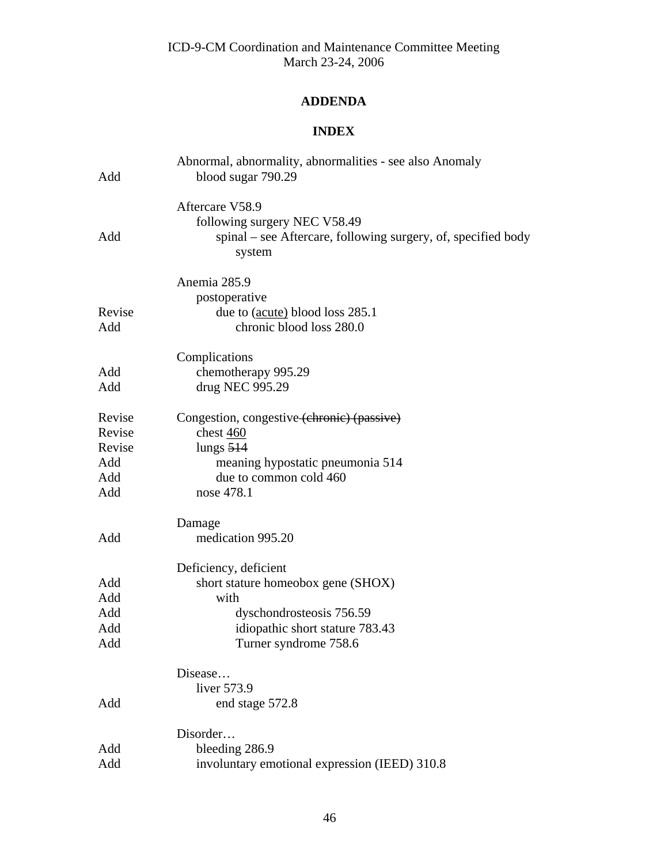# **ADDENDA**

# **INDEX**

| Add           | Abnormal, abnormality, abnormalities - see also Anomaly<br>blood sugar 790.29                                              |
|---------------|----------------------------------------------------------------------------------------------------------------------------|
| Add           | Aftercare V58.9<br>following surgery NEC V58.49<br>spinal – see Aftercare, following surgery, of, specified body<br>system |
|               | Anemia 285.9                                                                                                               |
|               | postoperative                                                                                                              |
| Revise<br>Add | due to (acute) blood loss 285.1<br>chronic blood loss 280.0                                                                |
|               | Complications                                                                                                              |
| Add           | chemotherapy 995.29                                                                                                        |
| Add           | drug NEC 995.29                                                                                                            |
| Revise        | Congestion, congestive (chronic) (passive)                                                                                 |
| Revise        | chest 460                                                                                                                  |
| Revise        | lungs $514$                                                                                                                |
| Add           | meaning hypostatic pneumonia 514                                                                                           |
| Add           | due to common cold 460                                                                                                     |
| Add           | nose 478.1                                                                                                                 |
|               | Damage                                                                                                                     |
| Add           | medication 995.20                                                                                                          |
|               | Deficiency, deficient                                                                                                      |
| Add           | short stature homeobox gene (SHOX)                                                                                         |
| Add           | with                                                                                                                       |
| Add           | dyschondrosteosis 756.59                                                                                                   |
| Add           | idiopathic short stature 783.43                                                                                            |
| Add           | Turner syndrome 758.6                                                                                                      |
|               | Disease                                                                                                                    |
|               | liver 573.9                                                                                                                |
| Add           | end stage 572.8                                                                                                            |
|               | Disorder                                                                                                                   |
| Add           | bleeding 286.9                                                                                                             |
| Add           | involuntary emotional expression (IEED) 310.8                                                                              |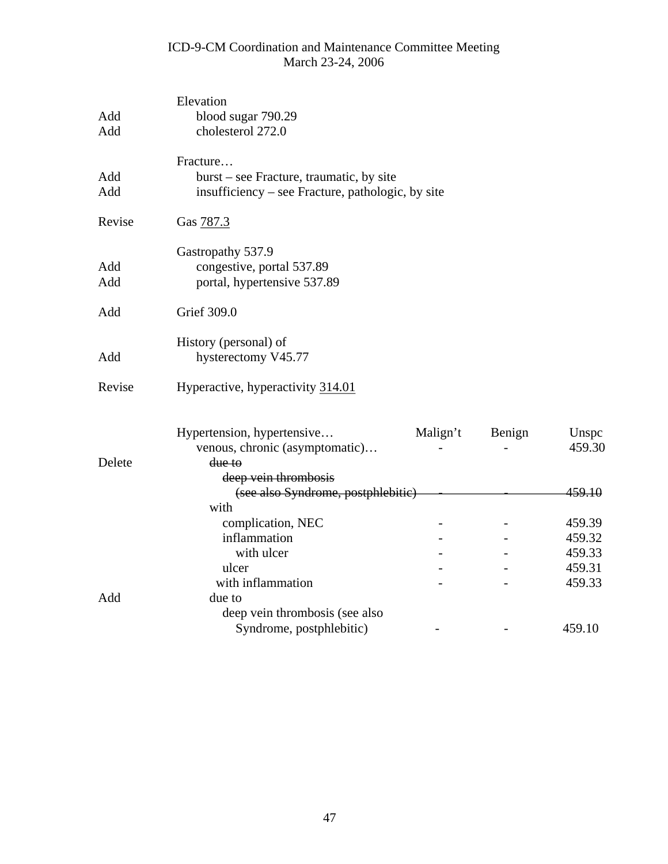| Add<br>Add | Elevation<br>blood sugar 790.29<br>cholesterol 272.0 |          |        |        |  |
|------------|------------------------------------------------------|----------|--------|--------|--|
|            |                                                      |          |        |        |  |
|            | Fracture                                             |          |        |        |  |
| Add        | burst – see Fracture, traumatic, by site             |          |        |        |  |
| Add        | insufficiency – see Fracture, pathologic, by site    |          |        |        |  |
| Revise     | Gas 787.3                                            |          |        |        |  |
|            | Gastropathy 537.9                                    |          |        |        |  |
| Add        | congestive, portal 537.89                            |          |        |        |  |
| Add        | portal, hypertensive 537.89                          |          |        |        |  |
| Add        | Grief 309.0                                          |          |        |        |  |
|            | History (personal) of                                |          |        |        |  |
| Add        | hysterectomy V45.77                                  |          |        |        |  |
| Revise     | Hyperactive, hyperactivity 314.01                    |          |        |        |  |
|            | Hypertension, hypertensive                           | Malign't | Benign | Unspc  |  |
|            | venous, chronic (asymptomatic)                       |          |        | 459.30 |  |
| Delete     | due to                                               |          |        |        |  |
|            | deep vein thrombosis                                 |          |        |        |  |
|            | 459.10<br>(see also Syndrome, postphlebitic)         |          |        |        |  |
|            | with                                                 |          |        |        |  |
|            | complication, NEC                                    |          |        | 459.39 |  |
|            | inflammation                                         |          |        | 459.32 |  |
|            | with ulcer                                           |          |        | 459.33 |  |
|            | ulcer                                                |          |        | 459.31 |  |
|            | with inflammation                                    |          |        | 459.33 |  |
| Add        | due to                                               |          |        |        |  |
|            | deep vein thrombosis (see also                       |          |        |        |  |
|            | Syndrome, postphlebitic)                             |          |        | 459.10 |  |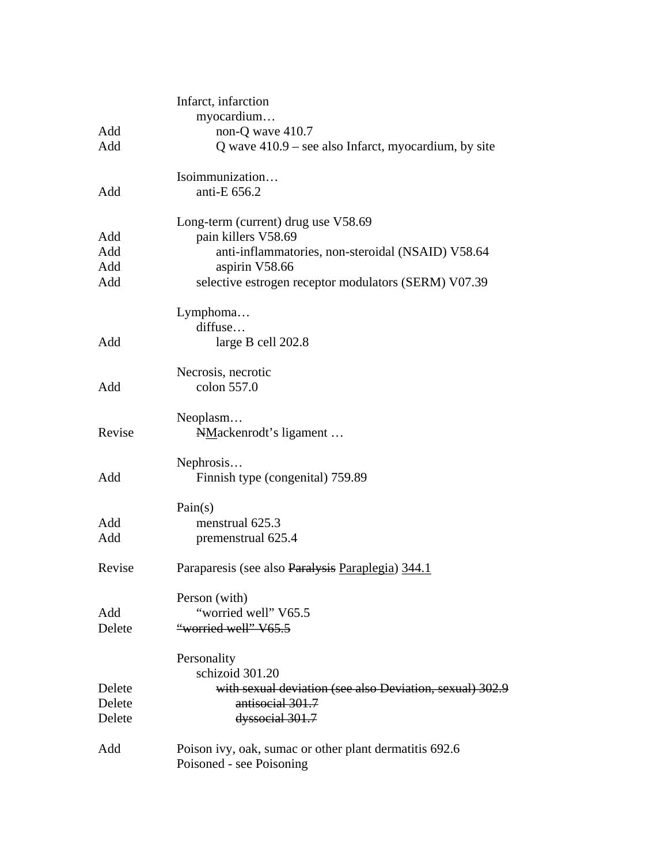|        | Infarct, infarction                                      |
|--------|----------------------------------------------------------|
|        | myocardium                                               |
| Add    | non-Q wave 410.7                                         |
| Add    | Q wave $410.9$ – see also Infarct, myocardium, by site   |
|        | Isoimmunization                                          |
| Add    | anti-E 656.2                                             |
|        | Long-term (current) drug use V58.69                      |
| Add    | pain killers V58.69                                      |
| Add    | anti-inflammatories, non-steroidal (NSAID) V58.64        |
| Add    | aspirin V58.66                                           |
| Add    | selective estrogen receptor modulators (SERM) V07.39     |
|        | Lymphoma                                                 |
|        | diffuse                                                  |
| Add    | large B cell 202.8                                       |
|        | Necrosis, necrotic                                       |
| Add    | colon 557.0                                              |
|        | Neoplasm                                                 |
| Revise | NMackenrodt's ligament                                   |
|        | Nephrosis                                                |
| Add    | Finnish type (congenital) 759.89                         |
|        | Pain(s)                                                  |
| Add    | menstrual 625.3                                          |
| Add    | premenstrual 625.4                                       |
| Revise | Paraparesis (see also Paralysis Paraplegia) 344.1        |
|        | Person (with)                                            |
| Add    | "worried well" V65.5                                     |
| Delete | "worried well" V65.5                                     |
|        | Personality                                              |
|        | schizoid 301.20                                          |
| Delete | with sexual deviation (see also Deviation, sexual) 302.9 |
| Delete | antisocial 301.7                                         |
| Delete | dyssocial 301.7                                          |
| Add    | Poison ivy, oak, sumac or other plant dermatitis 692.6   |
|        | Poisoned - see Poisoning                                 |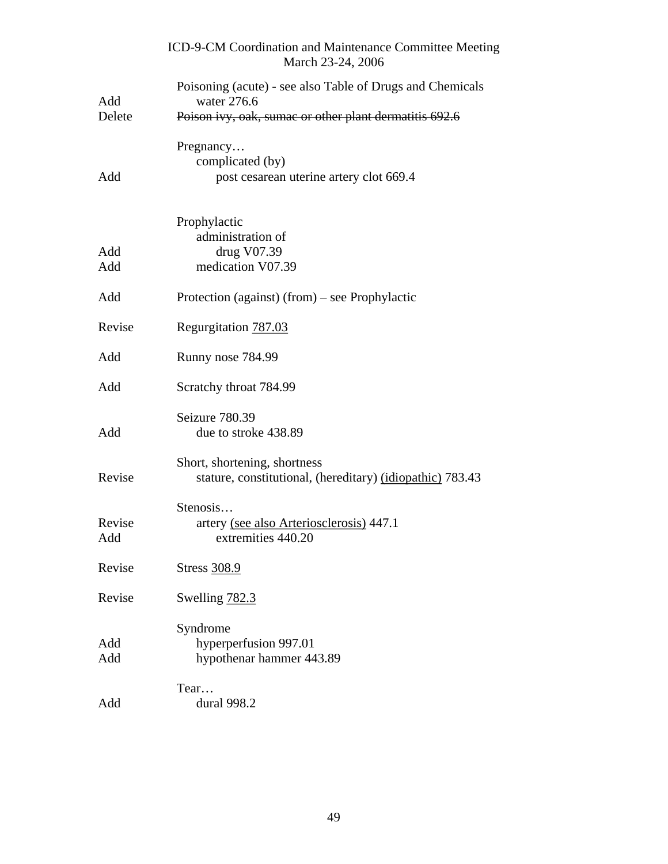|               | ICD-9-CM Coordination and Maintenance Committee Meeting<br>March 23-24, 2006              |
|---------------|-------------------------------------------------------------------------------------------|
| Add           | Poisoning (acute) - see also Table of Drugs and Chemicals<br>water 276.6                  |
| Delete        | Poison ivy, oak, sumae or other plant dermatitis 692.6                                    |
| Add           | Pregnancy<br>complicated (by)<br>post cesarean uterine artery clot 669.4                  |
| Add<br>Add    | Prophylactic<br>administration of<br>drug V07.39<br>medication V07.39                     |
| Add           | Protection (against) (from) – see Prophylactic                                            |
| Revise        | Regurgitation 787.03                                                                      |
| Add           | Runny nose 784.99                                                                         |
| Add           | Scratchy throat 784.99                                                                    |
| Add           | Seizure 780.39<br>due to stroke 438.89                                                    |
| Revise        | Short, shortening, shortness<br>stature, constitutional, (hereditary) (idiopathic) 783.43 |
| Revise<br>Add | Stenosis<br>artery (see also Arteriosclerosis) 447.1<br>extremities 440.20                |
| Revise        | Stress 308.9                                                                              |
| Revise        | Swelling 782.3                                                                            |
| Add<br>Add    | Syndrome<br>hyperperfusion 997.01<br>hypothenar hammer 443.89                             |
| Add           | Tear<br>dural 998.2                                                                       |